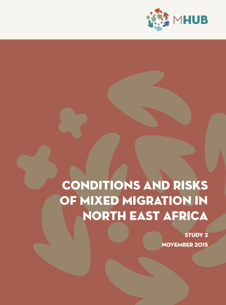

# CONDITIONS AND RISKS OF MIXED MIGRATION IN NORTH EAST AFRICA

STUDY 2 NOVEMBER 2015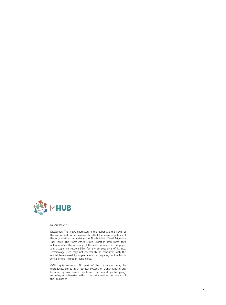

November 2015

Disclaimer: The views expressed in this paper are the views of the author and do not necessarily reflect the views or policies of the organizations comprising the North Africa Mixed Migration Task Force. The North Africa Mixed Migration Task Force does not guarantee the accuracy of the data included in this paper and accepts no responsibility for any consequence of its use. Terminology used may not necessarily be consistent with the official terms used by organizations participating in the North Africa Mixed Migration Task Force.

©All rights reserved. No part of this publication may be reproduced, stored in a retrieval system, or transmitted in any form or by any means, electronic, mechanical, photocopying, recording or otherwise without the prior written permission of the publisher.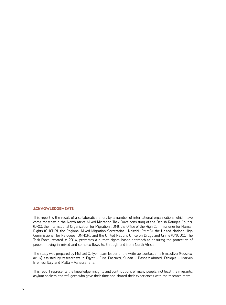# Acknowledgements

This report is the result of a collaborative effort by a number of international organizations which have come together in the North Africa Mixed Migration Task Force consisting of the Danish Refugee Council (DRC), the International Organization for Migration (IOM), the Office of the High Commissioner for Human Rights (OHCHR), the Regional Mixed Migration Secretariat – Nairobi (RMMS), the United Nations High Commissioner for Refugees (UNHCR), and the United Nations Office on Drugs and Crime (UNODC). The Task Force, created in 2014, promotes a human rights-based approach to ensuring the protection of people moving in mixed and complex flows to, through and from North Africa.

The study was prepared by Michael Collyer, team leader of the write up (contact email: m.collyer@sussex. ac.uk) assisted by researchers in Egypt - Elisa Pascucci; Sudan - Bashair Ahmed; Ethiopia - Markus Breines; Italy and Malta - Vanessa Iaria.

This report represents the knowledge, insights and contributions of many people, not least the migrants, asylum seekers and refugees who gave their time and shared their experiences with the research team.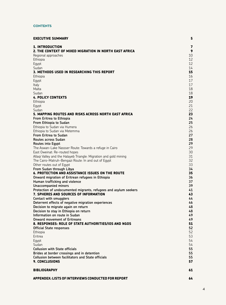# **CONTENTS**

| <b>EXECUTIVE SUMMARY</b>                                                            | 5        |
|-------------------------------------------------------------------------------------|----------|
| <b>1. INTRODUCTION</b>                                                              | 7        |
| 2. THE CONTEXT OF MIXED MIGRATION IN NORTH EAST AFRICA                              | 9        |
| Regional approaches                                                                 | 10       |
| Ethiopia                                                                            | 12       |
| Egypt                                                                               | 12       |
| Sudan<br>3. METHODS USED IN RESEARCHING THIS REPORT                                 | 14<br>15 |
| Ethiopia                                                                            | 16       |
| Egypt                                                                               | 17       |
| Italy                                                                               | 17       |
| Malta                                                                               | 18       |
| Sudan                                                                               | 18       |
| <b>4. POLICY CONTEXTS</b>                                                           | 19       |
| Ethiopia                                                                            | 20       |
| Egypt                                                                               | 21       |
| Sudan                                                                               | 22       |
| 5. MAPPING ROUTES AND RISKS ACROSS NORTH EAST AFRICA                                | 23       |
| From Eritrea to Ethiopia                                                            | 24       |
| From Ethiopia to Sudan                                                              | 25       |
| Ethiopia to Sudan via Humera                                                        | 26       |
| Ethiopia to Sudan via Metemma<br>From Eritrea to Sudan                              | 26<br>27 |
| Routes across Sudan                                                                 | 28       |
| Routes into Egypt                                                                   | 29       |
| The Aswan-Lake Nassser Route: Towards a refuge in Cairo                             | 29       |
| East Oweinat: Re-routed hopes                                                       | 30       |
| Allagi Valley and the Halayeb Triangle: Migration and gold mining                   | 31       |
| The Cairo-Matruh-Bengazi Route: In and out of Egypt                                 | 32       |
| Other routes out of Egypt                                                           | 33       |
| From Sudan through Libya                                                            | 34       |
| 6. PROTECTION AND ASSISTANCE ISSUES ON THE ROUTE                                    | 35       |
| Onward migration of Eritrean refugees in Ethiopia<br>Human trafficking and violence | 36<br>37 |
| <b>Unaccompanied minors</b>                                                         | 39       |
| Protection of undocumented migrants, refugees and asylum seekers                    | 41       |
| 7. SPHERES AND SOURCES OF INFORMATION                                               | 43       |
| Contact with smugglers                                                              | 44       |
| Deterrent effects of negative migration experiences                                 | 46       |
| Decision to migrate again on return                                                 | 48       |
| Decision to stay in Ethiopia on return                                              | 48       |
| Information on route in Sudan                                                       | 49       |
| <b>Onward movement of Eritreans</b>                                                 | 49       |
| 8. RESPONSES: ROLE OF STATE AUTHORITIES/IOS AND NGOS<br>Official State responses    | 51<br>52 |
| Ethiopia                                                                            | 52       |
| Eritrea                                                                             | 53       |
| Eqypt                                                                               | 54       |
| Sudan                                                                               | 54       |
| <b>Collusion with State officials</b>                                               | 55       |
| Brides at border crossings and in detention                                         | 55       |
| <b>Collusion between facilitators and State officials</b>                           | 55       |
| <b>9. CONCLUSIONS</b>                                                               | 57       |
| <b>BIBLIOGRAPHY</b>                                                                 | 61       |
| APPENDEX: LISTS OF INTERVIEWS CONDUCTED FOR REPORT                                  | 64       |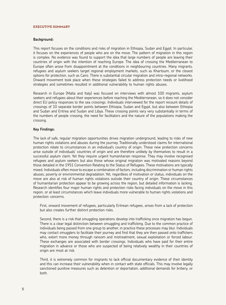#### Executive summary

#### **Background:**

This report focuses on the conditions and risks of migration in Ethiopia, Sudan and Egypt. In particular, it focuses on the experiences of people who are on the move. The pattern of migration in this region is complex. No evidence was found to support the idea that large numbers of people are leaving their countries of origin with the intention of reaching Europe. The idea of crossing the Mediterranean to Europe often arose from disappointment at the conditions in neighbouring countries. Many migrants, refugees and asylum seekers target regional employment markets, such as Khartoum, or the closest options for protection, such as Cairo. There is substantial circular migration and intra-regional networks. Onward movement took place when these strategies failed to address protection needs or livelihood strategies and sometimes resulted in additional vulnerability to human rights abuses.

Research in Europe (Malta and Italy) was focused on interviews with almost 100 migrants, asylum seekers and refugees about their experiences before reaching the Mediterranean, so it does not consider direct EU policy responses to the sea crossings. Individuals interviewed for the report recount details of crossings of 10 separate border points between Ethiopia, Sudan and Egypt, but also between Ethiopia and Sudan and Eritrea and Sudan and Libya. These crossing points vary very substantially in terms of the numbers of people crossing, the need for facilitators and the nature of the populations making the crossing.

#### **Key Findings:**

The lack of safe, regular migration opportunities drives migration underground, leading to risks of new human rights violations and abuses during the journey. Traditionally understood claims for international protection relate to circumstances in an individual's country of origin. These new protection concerns arise outside of individuals' countries of origin and are therefore unlikely by themselves to result in a successful asylum claim. Yet they require urgent humanitarian response. They may involve recognised refugees and asylum seekers but also those whose original migration was motivated reasons beyond those detailed in the 1951 Convention Relating to the Status of Refugees. These motivations are typically mixed. Individuals often move to escape a combination of factors, including discrimination or human rights abuses, poverty or environmental degradation. Yet, regardless of motivation or status, individuals on the move are also at risk of human rights violations outside their country of origin. These circumstances of humanitarian protection appear to be growing across the region, but detailed information is lacking. Research identifies four major human rights and protection risks facing individuals on the move in this region, or at least circumstances which leave individuals more vulnerable to human rights violations and protection concerns.

First, onward movement of refugees, particularly Eritrean refugees, arises from a lack of protection but also creates further distinct protection risks.

Second, there is a risk that smuggling operations develop into trafficking once migration has begun. There is a clear legal distinction between smuggling and trafficking. Due to the common practice of individuals being passed from one group to another, in practice these processes may blur. Individuals may contact smugglers to facilitate their journey and find that they are then passed onto traffickers who, extort more money through ransom and mistreatment, sexual exploitation or forced labour. These exchanges are associated with border crossings. Individuals who have paid for their entire migration in advance or those who are suspected of being relatively wealthy in their countries of origin are most at risk.

Third, it is extremely common for migrants to lack official documentary evidence of their identity and this can increase their vulnerability when in contact with state officials. This may involve legally sanctioned punitive measures such as detention or deportation, additional demands for bribery, or both.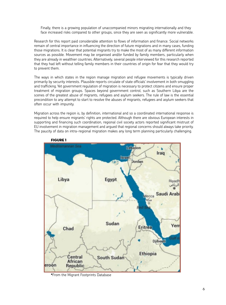Finally, there is a growing population of unaccompanied minors migrating internationally and they face increased risks compared to other groups, since they are seen as significantly more vulnerable.

Research for this report paid considerable attention to flows of information and finance. Social networks remain of central importance in influencing the direction of future migrations and in many cases, funding those migrations. It is clear that potential migrants try to make the most of as many different information sources as possible. Movement may be organised and/or funded by family members, particularly when they are already in wealthier countries. Alternatively, several people interviewed for this research reported that they had left without telling family members in their countries of origin for fear that they would try to prevent them.

The ways in which states in the region manage migration and refugee movements is typically driven primarily by security interests. Plausible reports circulate of state officials' involvement in both smuggling and trafficking. Yet government regulation of migration is necessary to protect citizens and ensure proper treatment of migration groups. Spaces beyond government control, such as Southern Libya are the scenes of the greatest abuse of migrants, refugees and asylum seekers. The rule of law is the essential precondition to any attempt to start to resolve the abuses of migrants, refugees and asylum seekers that often occur with impunity.

Migration across the region is, by definition, international and so a coordinated international response is required to help ensure migrants' rights are protected. Although there are obvious European interests in supporting and financing such coordination, regional civil society actors reported significant mistrust of EU involvement in migration management and argued that regional concerns should always take priority. The paucity of data on intra-regional migration makes any long term planning particularly challenging.



Figure 1

\*From the Migrant Footprints Database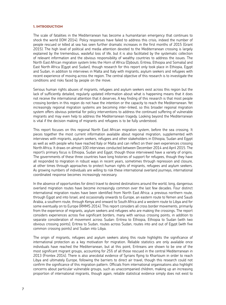#### 1. Introduction

The scale of fatalities in the Mediterranean has become a humanitarian emergency that continues to shock the world (IOM 2014). Policy responses have failed to address this crisis, indeed the number of people rescued or killed at sea has seen further dramatic increases in the first months of 2015 (Grant 2015). The high level of political and media attention devoted to the Mediterranean crossing is largely explained by the tremendous, wasteful loss of life, but it is also facilitated by the systematic collection of relevant information and the obvious responsibility of wealthy countries to address the issues. The North East African migration system links the Horn of Africa (Djibouti, Eritrea, Ethiopia and Somalia) and East North Africa (Egypt and Sudan), though research for this report only took place in Ethiopia, Egypt and Sudan, in addition to interviews in Malta and Italy with migrants, asylum seekers and refugees with recent experience of moving across the region. The central objective of this research is to investigate the conditions and risks faced by people on the move.

Serious human rights abuses of migrants, refugees and asylum seekers exist across this region but the lack of sufficiently detailed, regularly updated information about what is happening means that it does not receive the international attention that it deserves. A key finding of this research is that most people crossing borders in this region do not have the intention or the capacity to reach the Mediterranean. Yet increasingly regional migration systems are becoming inter-linked, so this broader regional migration system offers obvious potential for policy interventions to address the continued suffering of vulnerable migrants and may even help to address the Mediterranean tragedy. Looking beyond the Mediterranean is vital if the decision making of migrants and refugees is to be fully understood.

This report focuses on this regional North East African migration system, before the sea crossing. It pieces together the most current information available about regional migration, supplemented with interviews with migrants, asylum seekers, refugees and other stakeholders in Ethiopia, Sudan and Egypt as well as with people who have reached Italy or Malta and can reflect on their own experiences crossing North Africa. It draws on almost 100 interviews conducted between December 2014 and April 2015. The report's primary focus is Ethiopia, Sudan and Egypt, though those interviewed have a variety of origins. The governments of these three countries have long histories of support for refugees, though they have all responded to migration in robust ways in recent years, sometimes through repression and closure, at other times through approaches to protect human rights of migrants, refugees and asylum seekers. As growing numbers of individuals are willing to risk these international overland journeys, international coordinated response becomes increasingly necessary.

In the absence of opportunities for direct travel to desired destinations around the world, long, dangerous overland migration routes have become increasingly common over the last few decades. Four distinct international migration routes have been identified from North East Africa: a previous northern route, through Egypt and into Israel, and occasionally onwards to Europe, an eastern route to Yemen and Saudi Arabia, a southern route, through Kenya and onward to South Africa and a western route to Libya and for some eventually on to Europe (RMMS 2014). This report considers all cross border movements, primarily from the experience of migrants, asylum seekers and refugees who are making the crossings. The report considers experiences across five significant borders, many with various crossing points, in addition to separate consideration of movement across Sudan: Eritrea to Ethiopia, Ethiopia to Sudan (with two obvious crossing points), Eritrea to Sudan, routes across Sudan, routes into and out of Egypt (with five common crossing points) and Sudan into Libya.

The origin of migrants, refugees and asylum seekers along this route highlights the significance of international protection as a key motivation for migration. Reliable statistics are only available once individuals have reached the Mediterranean, but at this point, Eritreans are shown to be one of the most significant migrant groups, accounting for 25% of all those rescued in the central Mediterranean in 2013 (Frontex 2014). There is also anecdotal evidence of Syrians flying to Khartoum in order to reach Libya and ultimately Europe, following the barriers to direct air travel, though this research could not confirm the significance of this migration pattern. Officials from international organisations also highlight concerns about particular vulnerable groups, such as unaccompanied children, making up an increasing proportion of international migrants, though again, reliable statistical evidence simply does not exist to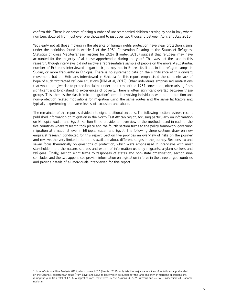confirm this. There is evidence of rising number of unaccompanied children arriving by sea in Italy where numbers doubled from just over one thousand to just over two thousand between April and July 2015.

Yet clearly not all those moving in the absence of human rights protection have clear protection claims under the definition found in Article 1 of the 1951 Convention Relating to the Status of Refugees. Statistics of cross Mediterranean rescues for 2014 (Frontex 2015) suggest that refugees may have accounted for the majority of all those apprehended during the year.<sup>1</sup> This was not the case in this research, though interviews did not involve a representative sample of people on the move. A substantial number of Eritreans interviewed began their journey not in Eritrea itself but in the refugee camps in Sudan, or more frequently in Ethiopia. There is no systematic data on the significance of this onward movement, but the Eritreans interviewed in Ethiopia for this report emphasised the complete lack of hope of such protracted refugee situations (IOM et al, 2012). Other individuals emphasised motivations that would not give rise to protection claims under the terms of the 1951 convention, often arising from significant and long-standing experiences of poverty. There is often significant overlap between these groups. This, then, is the classic 'mixed migration' scenario involving individuals with both protection and non-protection related motivations for migration using the same routes and the same facilitators and typically experiencing the same levels of exclusion and abuse.

The remainder of this report is divided into eight additional sections. The following section reviews recent published information on migration in the North East African region, focusing particularly on information on Ethiopia, Sudan and Egypt. Section three provides an overview of the methods used in each of the five countries where research took place and the fourth section turns to the policy framework governing migration at a national level in Ethiopia, Sudan and Egypt. The following three sections draw on new empirical research conducted for this report. Section five provides an overview of risks on the journey and reviews the very limited data that is available about different stages in the journey. Sections six and seven focus thematically on questions of protection, which were emphasised in interviews with most stakeholders and the nature, sources and extent of information used by migrants, asylum seekers and refugees. Finally, section eight turns to responses of states and non-state organisation, section nine concludes and the two appendices provide information on legislation in force in the three target countries and provide details of all individuals interviewed for this report.

<sup>1</sup> Frontex's Annual Risk Analysis 2015, which covers 2014 (Frontex 2015) only lists the major nationalities of individuals apprehended on the Central Mediterranean route (from Egypt and Libya to Italy) which accounted for the large majority of maritime apprehensions during the year. Of a total of 170,664 apprehensions, there were 39,651 Syrians, 33,559 Eritreans and 26,340 'unspecified sub-Saharan nationals'.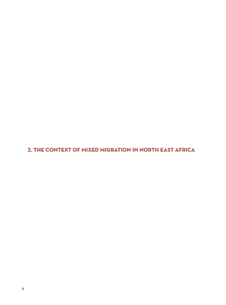2. the context of mixed migration in north east africa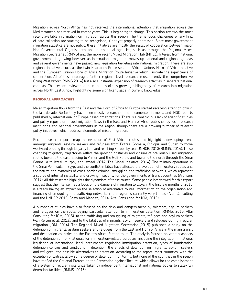Migration across North Africa has not received the international attention that migration across the Mediterranean has received in recent years. This is beginning to change. This section reviews the most recent available information on migration across this region. The tremendous challenges of any kind of data collection are starting to be recognised, if not yet properly addressed. Since most government migration statistics are not public, these initiatives are mostly the result of cooperation between major Non-Governmental Organisations and international agencies, such as through the Regional Mixed Migration Secretariat (RMMS) and the more recent Mixed Migration Hub (MHub). Interest from national governments is growing however, as international migration moves up national and regional agendas and several governments have passed new legislation targeting international migration. There are also regional initiatives, such as the twin Khartoum Processes, the African Union's Horn of Africa Initiative and the European Union's Horn of Africa Migration Route Initiative which illustrate the significance of cooperation. All of this encourages further regional level research, most recently the comprehensive Going West report (RMMS 2014) but also substantial expansion of research activities in separate national contexts. This section reviews the main themes of this growing bibliography of research into migration across North East Africa, highlighting some significant gaps in current knowledge.

#### rEGIONAL aPPROACHES

Mixed migration flows from the East and the Horn of Africa to Europe started receiving attention only in the last decade. So far they have been mostly researched and documented in media and INGO reports published by international or Europe based organizations. There is a conspicuous lack of scientific studies and policy reports on mixed migration flows in the East and Horn of Africa published by local research institutions and national governments in the region, though there are a growing number of relevant policy initiatives, which address elements of mixed migration.

Recent research reports map the evolution of East African routes and highlight a developing trend amongst migrants, asylum seekers and refugees from Eritrea, Somalia, Ethiopia and Sudan to move westward passing through Libya by land and reaching Europe by sea (UNHCR, 2013; RMMS, 2014). These changing migratory trajectories reflect the growing obstacles and closure of previously used migration routes towards the east heading to Yemen and the Gulf States and towards the north through the Sinai Peninsula to Israel (Murphy and Ismael, 2014; The Global Initiative, 2014). The military operations in the Sinai Peninsula in Egypt and the conflict in Libya have affected the evolution of migratory routes and the nature and dynamics of cross-border criminal smuggling and trafficking networks, which represent a source of internal instability and growing insecurity for the governments of transit countries (Aronson, 2014). All this research highlights the dynamism of these routes. Some people interviewed for this report suggest that the intense media focus on the dangers of migration to Libya in the first few months of 2015 is already having an impact on the selection of alternative routes. Information on the organisation and financing of smuggling and trafficking networks in the region is currently very limited (Altai Consulting and the UNHCR 2013, Shaw and Mangan, 2014, Altai Consulting for IOM, 2015).

A number of studies have also focused on the risks and dangers faced by migrants, asylum seekers and refugees on the route, paying particular attention to immigration detention (RMMS, 2015, Altai Consulting for IOM, 2015), to the trafficking and smuggling of migrants, refugees and asylum seekers (van Reisen et al. 2013), and to the fatalities of migrants, asylum seekers and refugees during irregular migration (IOM, 2014). The Regional Mixed Migration Secretariat (2015) published a study on the detention of migrants, asylum seekers and refugees from the East and Horn of Africa in the main transit and destination countries on the Eastern Africa-Europe route. The analysis focused on various aspects of the detention of non-nationals for immigration-related purposes, including the integration in national legislation of international legal instruments regulating immigration detention, types of immigration detention centres and conditions in detention, the effects of detention on migrants, asylum seekers and refugees, and possible alternatives to detention. According to the report, most countries, with the exception of Eritrea, allow some degree of detention monitoring, but none of the countries in the region have ratified the Optional Protocol to the Convention against Torture, which allows for the establishment of a system of regular visits undertaken by independent international and national bodies to state-run detention facilities (RMMS, 2015).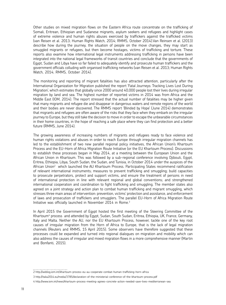Other studies on mixed migration flows on the Eastern Africa route concentrate on the trafficking of Somali, Eritrean, Ethiopian and Sudanese migrants, asylum seekers and refugees and highlight cases of extreme violence and human rights abuses exercised by traffickers against the trafficked victims (van Reisen et al. 2013; Human Rights Watch, 2014; RMMS, October 2014).Van Reinsen et al. (2013) describe how during the journey, the situation of people on the move changes, they may start as smuggled migrants or refugees, but then become hostages, victims of trafficking and torture. These reports also examine how international legal instruments addressing trafficking in persons have been integrated into the national legal frameworks of transit countries and conclude that the governments of Egypt, Sudan and Libya have so far failed to adequately identify and prosecute human traffickers and the government officials colluding with organised trafficking networks (van Reisen et al. 2013; Human Rights Watch, 2014; RMMS, October 2014).

The monitoring and reporting of migrant fatalities has also attracted attention, particularly after the International Organization for Migration published the report 'Fatal Journeys: Tracking Lives Lost During Migration', which estimates that globally since 2000 around 40,000 people lost their lives during irregular migration by land and sea. The highest number of reported victims in 2014 was from Africa and the Middle East (IOM, 2014). The report stressed that the actual number of fatalities may be higher given that many migrants and refugee die and disappear in dangerous waters and remote regions of the world and their bodies are never discovered. The RMMS report 'Blinded by Hope' (June 2014) demonstrates that migrants and refugees are often aware of the risks that they face when they embark on the irregular journey to Europe, but they still take the decision to move in order to escape the unbearable circumstances in their home countries, in the hope of reaching a safe place where they can find protection and a better future (RMMS, June 2014).

The growing awareness of increasing numbers of migrants and refugees ready to face violence and human rights violations and abuses in order to reach Europe through irregular migration channels has led to the establishment of two new parallel regional policy initiatives, the African Union's Khartoum Process and the EU-Horn of Africa Migration Route Initiative (or the EU Khartoum Process). Discussions to establish these processes began in May 2014, at a meeting between the European Union and the African Union in Khartoum. This was followed by a sub-regional conference involving Djibouti, Egypt, Eritrea, Ethiopia, Libya, South Sudan, the Sudan, and Tunisia, in October 2014 under the auspices of the African Union<sup>2</sup> which launched the AU Khartoum Process. Participating States recommend ratification of relevant international instruments; measures to prevent trafficking and smuggling; build capacities to prosecute perpetrators, protect and support victims, and ensure the treatment of persons in need of international protection in line with relevant regional and global conventions; and strengthened international cooperation and coordination to fight trafficking and smuggling. The member states also agreed on a joint strategy and action plan to combat human trafficking and migrant smuggling, which stresses three main areas of intervention: prevention, victims' protection and assistance, and enforcement of laws and prosecution of traffickers and smugglers. The parallel EU-Horn of Africa Migration Route Initiative was officially launched in November 2014 in Rome.<sup>3</sup>

In April 2015 the Government of Egypt hosted the first meeting of the Steering Committee of the Khartoum4 process and attended by Egypt, Sudan, South Sudan, Eritrea, Ethiopia, UK, France, Germany, Italy and Malta. Neither the AU, nor the EU Khartoum Process, however, tackle one of the key root causes of irregular migration from the Horn of Africa to Europe, that is the lack of legal migration channels (Reuters and RMMS, 15 April 2015). Some observers have therefore suggested that these processes could be expanded and turned into regional dialogues on migration and mobility which can also address the causes of irregular and mixed migration flows in a more comprehensive manner (Martin and Bonfanti, 2015).

- 3 http://italia2014.eu/media/3785/declaration-of-the-ministerial-conference-of-the-khartoum-process.pdf
- 4 http://www.iom.int/news/khartoum-process-meeting-agrees-concrete-action-needed-save-lives-mediterranean-sea

<sup>2</sup> http://weblog.iom.int/khartoum-process-eu-au-cooperate-combat-human-trafficking-horn-africa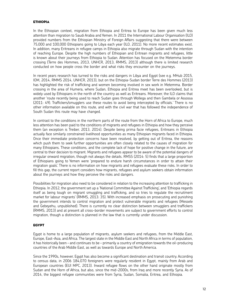# ethiopia

In the Ethiopian context, migration from Ethiopia and Eritrea to Europe has been given much less attention than migration to Saudi Arabia and Yemen. In 2011 the International Labour Organisation (ILO) provided numbers from the Ethiopian Ministry of Foreign Affairs suggesting that there were between 75,000 and 100,000 Ethiopians going to Libya each year (ILO, 2011). No more recent estimates exist. In addition, many Eritreans in refugee camps in Ethiopia also migrate through Sudan with the intention of reaching Europe. Despite the high numbers of Ethiopian and Eritrean migrants and refugees, little is known about their journeys from Ethiopia to Sudan. Attention has focused on the Metemma border crossing (Terre des Hommes, 2013, UNHCR, 2013, RMMS, 2013) although there is limited research conducted on how people cross the border and what risks they encounter on the journeys.

In recent years research has turned to the risks and dangers in Libya and Egypt (see e.g. MHub 2015, IOM, 2014, RMMS 2014, UNHCR, 2013), but on the Ethiopia-Sudan border Terre des Hommes (2013) has highlighted the risk of trafficking and women becoming involved in sex work in Metemma. Border crossing in the area of Humera, where Sudan, Ethiopia and Eritrea meet has been overlooked, but is widely used by Ethiopians in the north of the country as well as Eritreans. Moreover, the ILO claims that another 'route recently being used to reach Sudan goes through Wollega and then Gambela or Assossa (2011: 49). Traffickers/smugglers use these routes to avoid being intercepted by officials.' There is no other information available on this route, and with the civil war that has followed the independence of South Sudan this route may have changed.

In contrast to the conditions in the northern parts of the route from the Horn of Africa to Europe, much less attention has been paid to the conditions of migrants and refugees in Ethiopia and how they perceive them (an exception is Treiber, 2013, 2014). Despite being prima facie refugees, Eritreans in Ethiopia actually face similarly constrained livelihood opportunities as many Ethiopian migrants faced in Ethiopia. Once their immediate protection concerns have been resolved, by getting out of Eritrea, the reasons which push them to seek further opportunities are often closely related to the causes of migration for many Ethiopians. These conditions, and the complete lack of hope for positive change in the future, are central to their decision to migrant. Migrants and refugees appear to be aware of the potential dangers of irregular onward migration, though not always the details. RMSS (2014: 5) finds that a large proportion of Ethiopians going to Yemen were 'prepared to endure harsh circumstances in order to attain their migration goals'. There is no information on how migrants and refugees evaluate these risks. In order to fill this gap, the current report considers how migrants, refugees and asylum seekers obtain information about the journeys and how they perceive the risks and dangers.

Possibilities for migration also need to be considered in relation to the increasing attention to trafficking in Ethiopia. In 2012, the government set up a 'National Committee Against Trafficking', and 'Ethiopia regards itself as being tough on migrant smuggling and trafficking, and so tries to regulate the recruitment market for labour migrants' (RMMS, 2013: 35). With increased emphasis on prosecuting and punishing the government intends to control migration and protect vulnerable migrants and refugees (Messele and Gebeyehu, unpublished). There is currently no clear distinction between smugglers and traffickers (RMMS, 2013) and at present all cross-border movements are subject to government efforts to control migration, though a distinction is planned in the law that is currently under discussion.

#### **EGYPT**

Egypt is home to a large population of migrants, asylum seekers and refugees, from the Middle East, Europe, East-Asia, and Africa. The largest state in the Middle East and North Africa in terms of population, it has historically been – and continues to be – primarily a country of emigration towards the oil-producing countries of the Arab Middle East, as well as towards Europe and North America.

Since the 1990s, however, Egypt has also become a significant destination and transit country. According to census data, in 2006 184,070 foreigners were regularly resident in Egypt, mainly from Arab and European countries (EUI MPC, 2013). Inward refugee flows on the other hand originate mostly from Sudan and the Horn of Africa, but also, since the mid-2000s, from Iraq and more recently Syria. As of 2014, the biggest refugee communities were from Syria, Sudan, Somalia, Eritrea, and Ethiopia.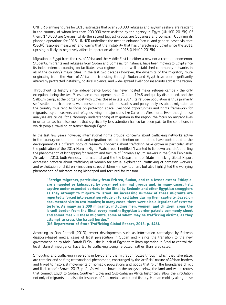UNHCR planning figures for 2015 estimates that over 250,000 refugees and asylum seekers are resident in the country, of whom less than 200,000 were assisted by the agency in Egypt (UNHCR 2015b). Of them, 140,000 are Syrians, while the second biggest groups are Sudanese and Somalis. Outlining its planned operations for 2015, UNHCR underlines the need to enhance 'sexual and gender-based violence (SGBV) response measures', and warns that the instability that has characterised Egypt since the 2011 uprising is likely to negatively affect its operation also in 2015 (UNHCR 2015b).

Migration to Egypt from the rest of Africa and the Middle East is neither a new nor a recent phenomenon. Students, migrants and refugees from Sudan and Somalia, for instance, have been moving to Egypt since its independence, counting on facilitated visa regimes and on well-established community networks in all of the country's major cities. In the last two decades however, the dynamics of the migratory route originating from the Horn of Africa and transiting through Sudan and Egypt have been significantly altered by protracted instability, political violence, and wide-spread livelihood insecurity across the region.

Throughout its history since independence Egypt has never hosted major refugee camps – the only exceptions being the two Palestinian camps opened near Cairo in 1948 and quickly dismantled, and the Salloum camp, at the border post with Libya, closed in late 2014. Its refugee population is thus primarily self-settled in urban areas. As a consequence, academic studies and policy analyses about migration to the country thus tend to focus on protection space, livelihood opportunities and rights framework for migrants, asylum seekers and refugees living in major cities like Cairo and Alexandria. Even though these analyses are crucial for a thorough understanding of migration in the region, the focus on migrant lives in urban areas has also meant that significantly less attention has so far been paid to the conditions in which people travel to or transit through Egypt.

In the last few years however, international rights groups' concerns about trafficking networks active in the country on the one hand, and migration-related detention on the other, have contributed to the development of a different body of research. Concerns about trafficking have grown in particular after the publication of the 2014 Human Rights Watch report entitled "I wanted to lie down and die", detailing the phenomenon of kidnapping for ransom and torture of Eritrean asylum seekers in the Sinai Peninsula. Already in 2013, both Amnesty International and the US Department of State Trafficking Global Report expressed concern about trafficking of women for sexual exploitation, trafficking of domestic workers, and exploitation of children – including street children – in sex tourism, but also highlighted the worrying phenomenon of migrants being kidnapped and tortured for ransom.

**"Foreign migrants, particularly from Eritrea, Sudan, and to a lesser extent Ethiopia, are smuggled or kidnapped by organized criminal groups and, in many cases, held captive under extended periods in the Sinai by Bedouin and other Egyptian smugglers as they attempt to migrate to Israel. An increasing number of these migrants are reportedly forced into sexual servitude or forced labor during their captivity, based on documented victim testimonies; in many cases, there were also allegations of extreme torture. As many as 2,000 migrants, including men, women, and children, cross the Israeli border from the Sinai every month; Egyptian border patrols commonly shoot and sometimes kill these migrants, some of whom may be trafficking victims, as they attempt to cross the Israeli border."**

**(US Department of State Trafficking Global Report, 2013, p. 146).**

According to Dan Connell (2013), recent developments such as information campaigns by Eritrean diaspora-based media, cases of legal persecution in Sudan and – since the transition to the new government led by Abdel Fattah El Sisi – the launch of Egyptian military operation in Sinai to control the local Islamist insurgency have led to trafficking being rerouted, rather than eradicated.

Smuggling and trafficking in persons in Egypt, and the migration routes through which they take place, are complex and shifting transnational phenomena, encouraged by the 'artificial' nature of African borders and linked to historical movements of nomadic populations and goods that "blur the boundaries of licit and illicit trade" (Brown 2013, p. 2). As will be shown in the analysis below, the land and water routes that connect Egypt to Sudan, Southern Libya and Sub-Saharan Africa historically allow the circulation not only of migrants, but also, for instance, of fuel, metals, water and fishery. Human mobility along these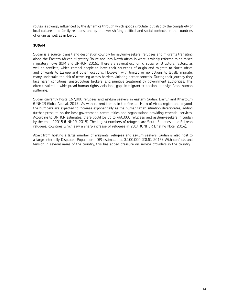routes is strongly influenced by the dynamics through which goods circulate, but also by the complexity of local cultures and family relations, and by the ever shifting political and social contexts, in the countries of origin as well as in Egypt.

# SUDAN

Sudan is a source, transit and destination country for asylum-seekers, refugees and migrants transiting along the Eastern African Migratory Route and into North Africa in what is widely referred to as mixed migratory flows (IOM and UNHCR, 2015). There are several economic, social or structural factors, as well as conflicts, which compel people to leave their countries of origin and migrate to North Africa and onwards to Europe and other locations. However, with limited or no options to legally migrate, many undertake the risk of travelling across borders violating border controls. During their journey they face harsh conditions, unscrupulous brokers, and punitive treatment by government authorities. This often resulted in widespread human rights violations, gaps in migrant protection, and significant human suffering.

Sudan currently hosts 167,000 refugees and asylum seekers in eastern Sudan, Darfur and Khartoum (UNHCR Global Appeal, 2015). As with current trends in the Greater Horn of Africa region and beyond, the numbers are expected to increase exponentially as the humanitarian situation deteriorates, adding further pressure on the host government, communities and organisations providing essential services. According to UNHCR estimates, there could be up to 460,000 refugees and asylum-seekers in Sudan by the end of 2015 (UNHCR, 2015). The largest numbers of refugees are South Sudanese and Eritrean refugees, countries which saw a sharp increase of refugees in 2014 (UNHCR Briefing Note, 2014).

Apart from hosting a large number of migrants, refugees and asylum seekers, Sudan is also host to a large Internally Displaced Population (IDP) estimated at 3,100,000 (IDMC, 2015). With conflicts and tension in several areas of the country, this has added pressure on service providers in the country.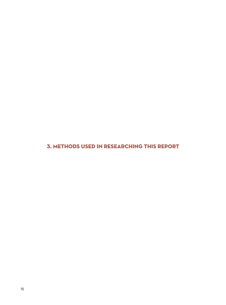3. Methods used in researching this report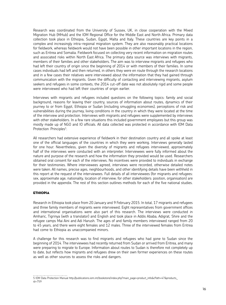Research was coordinated from the University of Sussex, UK, in close cooperation with the Mixed Migration Hub (MHub) and the IOM Regional Office for the Middle East and North Africa. Primary data collection took place in Ethiopia, Sudan, Egypt, Malta and Italy. These countries are key points in a complex and increasingly intra-regional migration system. They are also reasonably practical locations for fieldwork, whereas fieldwork would not have been possible in other important locations in the region, such as Eritrea and Somalia. Fieldwork focused on collecting very recent information on migration routes and associated risks within North East Africa. The primary data source was interviews with migrants, members of their families and other stakeholders. The aim was to interview migrants and refugees who had left their country of origin since the beginning of 2014 or with members of their families. In some cases individuals had left and then returned, in others they were en route through the research locations and in a few cases their relatives were interviewed about the information that they had gained through communication with the migrants. Given the difficulty of contacting and interviewing migrants, asylum seekers and refugees in some contexts, the 2014 cut-off date was not absolutely rigid and some people were interviewed who had left their countries of origin earlier.

Interviews with migrants and refugees included questions on the following topics: family and social background, reasons for leaving their country, sources of information about routes, dynamics of their journey to or from Egypt, Ethiopia or Sudan (including smuggling economies), perceptions of risk and vulnerabilities during the journey, living conditions in the country in which they were located at the time of the interview and protection. Interviews with migrants and refugees were supplemented by interviews with other stakeholders. In a few rare situations this included government employees but this group was mostly made up of NGO and IO officials. All data collected was protected in accordance with IOM Data Protection Principles<sup>5</sup>.

All researchers had extensive experience of fieldwork in their destination country and all spoke at least one of the official languages of the countries in which they were working. Interviews generally lasted for one hour. Nevertheless, given the diversity of migrants and refugees interviewed, approximately half of the interviews were conducted with an interpreter. Interviewees were fully informed about the nature and purpose of the research and how the information they provided would be used. Researchers obtained oral consent for each of the interviews. No incentives were provided to individuals in exchange for their testimonies. Where interviewees agreed, interviews were recorded, otherwise detailed notes were taken. All names, precise ages, neighbourhoods, and other identifying details have been withheld in this report at the request of the interviewees. Full details of all interviewees (for migrants and refugees: sex, approximate age, nationality, location of interview; for other stakeholders: position, organisation) are provided in the appendix. The rest of this section outlines methods for each of the five national studies.

#### Ethiopia

Research in Ethiopia took place from 20 January and 9 February 2015. In total, 17 migrants and refugees and three family members of migrants were interviewed. Eight representatives from government offices and international organisations were also part of this research. The interviews were conducted in Amharic, Tigrinya (with a translator) and English and took place in Addis Ababa, Adigrat, Shire and the refugee camps Mai Aini and Adi Harush. The ages of and family members interviewed ranged from 20 to 45 years, and there were eight females and 12 males. Three of the interviewed females from Eritrea had come to Ethiopia as unaccompanied minors.

A challenge for this research was to find migrants and refugees who had gone to Sudan since the beginning of 2014. The interviewees had recently returned from Sudan or arrived from Eritrea, and many were preparing to migrate to Europe. Information about routes to Sudan is therefore not completely up to date, but reflects how migrants and refugees drew on their own former experiences on these routes as well as other sources to assess the risks and dangers.

<sup>5</sup> IOM Data Protection Manual http://publications.iom.int/bookstore/index.php?main\_page=product\_info&cPath=47&products\_ id=759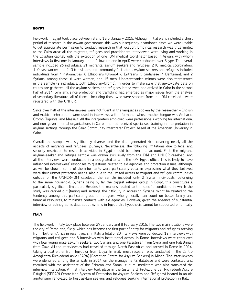# EGYPT

Fieldwork in Egypt took place between 8 and 18 of January 2015. Although initial plans included a short period of research in the Aswan governorate, this was subsequently abandoned since we were unable to get appropriate permission to conduct research in that location. Empirical research was thus limited to the Cairo area: all the migrants, refugees and practitioners interviewed were living and working in the Egyptian capital, with the exception of one IOM medical coordinator based in Aswan, with whom interviews (a first one in January, and a follow-up one in April) were conducted over Skype. The overall sample included 26 individuals: 21 migrants, asylum seekers and refugees, 2 IO medical coordinators, 1 IO caseworker, and 2 IO translators and community facilitators. Asylum seekers and refugees included individuals from 4 nationalities: 8 Ethiopians (Oromo), 6 Eritreans, 5 Sudanese (4 Darfurian), and 2 Syrians; among these, 6 were women, and 15 men. Unaccompanied minors were also represented in the sample (2 individuals, both Ethiopian-Oromo). In order to make sure that up-to-date data on routes are gathered, all the asylum seekers and refugees interviewed had arrived in Cairo in the second half of 2014. Similarly, since protection and trafficking had emerged as major issues from the analysis of secondary literature, all of them – including those who were selected from the IOM caseload – were registered with the UNHCR.

Since over half of the interviewees were not fluent in the languages spoken by the researcher – English and Arabic – interpreters were used in interviews with informants whose mother tongue was Amharic, Oromo, Tigrinya, and Massalit. All the interpreters employed were professionals working for international and non-governmental organizations in Cairo, and had received specialised training in interpretation in asylum settings through the Cairo Community Interpreter Project, based at the American University in Cairo.

Overall, the sample was significantly diverse, and the data generated rich, covering nearly all the aspects of migrants and refugees' journeys. Nevertheless, the following limitations due to legal and security restriction to research activities in Egypt should be taken into account. First, the migrant, asylum-seeker and refugee sample was drawn exclusively from the IOM and UNHCR caseload, and all the interviews were conducted in a designated area at the IOM Egypt office. This is likely to have influenced interviewees' responses to questions related to aid agencies and protection issues, although, as will be shown, some of the informants were particularly vocal in expressing what they believed were their unmet protection needs. Also due to the limited access to migrant and refugee communities outside of the UNHCR-IOM caseload, the sample included only 2 Syrian individuals, belonging to the same household. Syrians being by far the biggest refugee group in Egypt, this constitutes a particularly significant limitation. Besides the reasons related to the specific conditions in which the study was carried out (timing and setting), the difficulty in accessing Syrians might be related to the tendency among this particular group of refugees, who generally can count on better family and financial resources, to minimize contacts with aid agencies. However, given the absence of substantial interview or ethnographic data about Syrians in Egypt, this hypothesis cannot be supported empirically.

### **ITALY**

The fieldwork in Italy took place between 29 January and 8 February 2015. The two main locations were the city of Rome and, Sicily, which has become the first port of entry for migrants and refugees arriving from Northern Africa in recent years. In Italy, a total of 20 interviews were conducted: 12 interviews with migrants and refugees and 8 interviews with institutional actors. In Rome, interviews were conducted with four young male asylum seekers, two Syrians and one Palestinian from Syria and one Palestinian from Gaza. All the interviewees had travelled through North East Africa and arrived in Rome in 2014, taking a boat either from Egypt or from Libya. In Sicily most research was conducted in the Centro Accoglienza Richiedenti Asilo (CARA) [Reception Centre for Asylum Seekers] in Mineo. The interviewees were identified among the arrivals in 2014 on the management's database and were contacted and recruited with the assistance of the Eritrean and Somali cultural mediators who also translated the interview interaction. A final interview took place in the Sistema di Protezione per Richiedenti Asilo e Rifugiati (SPRAR) Centre (the System of Protection for Asylum Seekers and Refugees) located in an old agriturismo renovated to host asylum seekers and refugees seeking international protection in Italy.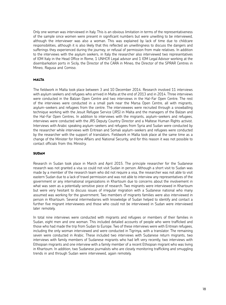Only one woman was interviewed in Italy. This is an obvious limitation in terms of the representativeness of the sample since women were present in significant numbers but were unwilling to be interviewed, although the interviewer was also a woman. This was explained by lack of time due to childcare responsibilities, although it is also likely that this reflected an unwillingness to discuss the dangers and sufferings they experienced during the journey, or refusal of permission from male relatives. In addition to the interviews with the asylum seekers, in Italy the researcher also interviewed two representatives of IOM Italy in the Head Office in Rome, 1 UNHCR Legal advisor and 1 IOM Legal Advisor working at the disembarkation ports in Sicily, the Director of the CARA in Mineo, the Director of the SPRAR Centres in Mineo, Ragusa and Comiso.

# MALTA

The fieldwork in Malta took place between 3 and 10 December 2014. Research involved 11 interviews with asylum seekers and refugees who arrived in Malta at the end of 2013 and in 2014. Three interviews were conducted in the Balzan Open Centre and two interviews in the Hal-Far Open Centre. The rest of the interviews were conducted in a small park near the Marsa Open Centre, all with migrants, asylum-seekers and refugees from the centre. The interviewees were recruited through a snowballing technique working with the Jesuit Refugee Service (JRS) in Malta and the managers of the Balzan and the Hal-Far Open Centres. In addition to interviews with the migrants, asylum-seekers and refugees, interviews were conducted with the JRS Deputy Country Director and a Maltese Human Rights activist. Interviews with Arabic speaking asylum-seekers and refugees from Syria and Sudan were conducted by the researcher while interviews with Eritrean and Somali asylum-seekers and refugees were conducted by the researcher with the support of translators. Fieldwork in Malta took place at the same time as a change of the Minister for Home Affairs and National Security, and for this reason it was not possible to contact officials from this Ministry.

# **SUDAN**

Research in Sudan took place in March and April 2015. The principle researcher for the Sudanese research was not granted a visa so could not visit Sudan in person. Although a short visit to Sudan was made by a member of the research team who did not require a visa, the researcher was not able to visit eastern Sudan due to a lack of travel permission and was not able to interview any representatives of the government or any international organizations in Khartoum due to concerns about the involvement in what was seen as a potentially sensitive piece of research. Two migrants were interviewed in Khartoum but were very hesitant to discuss issues of irregular migration with a Sudanese national who many assumed was working for the government. Two members of migrants families were also interviewed in person in Khartoum. Several intermediaries with knowledge of Sudan helped to identify and contact a further five migrant interviewees and those who could not be interviewed in Sudan were interviewed later remotely.

In total nine interviews were conducted with migrants and refugees or members of their families in Sudan, eight men and one woman. This included detailed accounts of people who were trafficked and those who had made the trip from Sudan to Europe. Two of these interviews were with Eritrean refugees, including the only woman interviewed and were conducted in Tigrinya, with a translator. The remaining seven were conducted in Arabic. These included two interviews with Sudanese return migrants, two interviews with family members of Sudanese migrants who had left very recently, two interviews with Ethiopian migrants and one interview with a family member of a recent Ethiopian migrant who was living in Khartoum. In addition, two Sudanese journalists who are closely monitoring trafficking and smuggling trends in and through Sudan were interviewed, again remotely.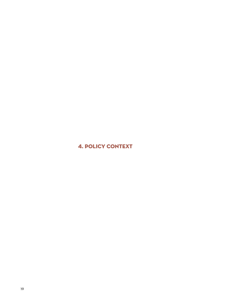4. POLICY CONTEXT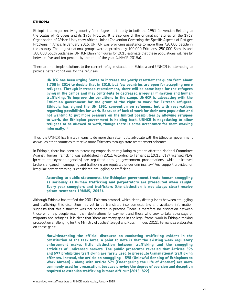# **ETHIOPIA**

Ethiopia is a major receiving country for refugees. It is party to both the 1951 Convention Relating to the Status of Refugees and its 1967 Protocol. It is also one of the original signatories on the 1969 Organisation of African Unity (now African Union) Convention Governing the Specific Aspects of Refugee Problems in Africa. In January 2015, UNHCR was providing assistance to more than 720,000 people in the country. The largest national groups were approximately 100,000 Eritreans, 250,000 Somalis and 300,000 South Sudanese. UNHCR planning figures for 2015 estimate that these populations will rise by between five and ten percent by the end of the year (UNHCR 2015a).

There are no simple solutions to the current refugee situation in Ethiopia and UNHCR is attempting to provide better conditions for the refugees:

**UNHCR has been urging States to increase the yearly resettlement quota from about 3,700 in 2014 to double that in 2015, but few countries are open for accepting more refugees. Through increased resettlement, there will be some hope for the refugees living in the camps and may contribute to decreased irregular migration and human trafficking. To improve the conditions in the camps UNHCR is advocating with the Ethiopian government for the grant of the right to work for Eritrean refugees. Ethiopia has signed the UN 1951 convention on refugees, but with reservations regarding possibilities for work. Because of lack of work for their own population and not wanting to put more pressure on the limited possibilities by allowing refugees to work, the Ethiopian government is holding back. UNHCR is negotiating to allow refugees to be allowed to work, though there is some acceptance for them working informally. 6**

Thus, the UNHCR has limited means to do more than attempt to advocate with the Ethiopian government as well as other countries to receive more Eritreans through state resettlement schemes.

In Ethiopia, there has been an increasing emphasis on regulating migration after the National Committee Against Human Trafficking was established in 2012. According to Fernandez (2013: 819) 'licensed PEAs [private employment agencies] are regulated through government proclamations, while unlicensed brokers engaged in smuggling and trafficking are regulated under criminal law.' Any support provided for irregular border crossing is considered smuggling or trafficking:

# **According to public statements, the Ethiopian government treats human smuggling as seriously as human trafficking and perpetrators are prosecuted when caught. Every year smugglers and traffickers (the distinction is not always clear) receive prison sentences (RMMS, 2013).**

Although Ethiopia has ratified the 2001 Palermo protocol, which clearly distinguishes between smuggling and trafficking, this distinction has yet to be translated into domestic law and available information suggests that this distinction was not operated in practice. There is therefore no distinction between those who help people reach their destinations for payment and those who seek to take advantage of migrants and refugees. It is clear that 'there are many gaps in the legal frame-work in Ethiopia making prosecution challenging for the Ministry of Justice' (Siegel and Kuschminder, 2011). Fernandez elaborates on these gaps:

**Notwithstanding the official discourse on combating trafficking evident in the constitution of the task force, a point to note is that the existing weak regulatory enforcement makes little distinction between trafficking and the smuggling activities of unlicensed brokers. The public prosecutor revealed that Articles 596 and 597 prohibiting trafficking are rarely used to prosecute transnational trafficking offences. Instead, the article on smuggling – 598 (Unlawful Sending of Ethiopians to Work Abroad) – along with Article 571 (Endangering the Life of Another) are more commonly used for prosecution, because proving the degree of coercion and deception required to establish trafficking is more difficult (2013: 822).**

<sup>6</sup> Interview, two staff members at UNHCR, Addis Ababa, January 2015.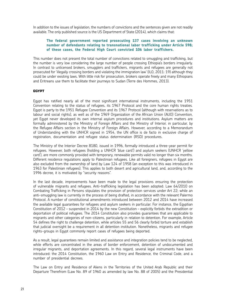In addition to the issues of legislation, the numbers of convictions and the sentences given are not readily available. The only published source is the US Department of State (2014), which claims that:

# **The federal government reported prosecuting 137 cases involving an unknown number of defendants relating to transnational labor trafficking under Article 598; of these cases, the Federal High Court convicted 106 labor traffickers.**

This number does not present the total number of convictions related to smuggling and trafficking, but the number is very low considering the large number of people crossing Ethiopia's borders irregularly. In contrast to unlicensed brokers, smugglers and traffickers, migrants and refugees are generally not prosecuted for 'illegally crossing borders and violating the immigration law' (ILO, 2011: 19) although they could be under existing laws. With little risk for prosecution, brokers operate freely and many Ethiopians and Eritreans use them to facilitate their journeys to Sudan (Terre des Hommes, 2013).

# **EGYPT**

Egypt has ratified nearly all of the most significant international instruments, including the 1951 Convention relating to the status of refugees, its 1967 Protocol and the core human rights treaties. Egypt is party to the 1951 Refugee Convention and its 1967 Protocol (although with reservations as to labour and social rights), as well as of the 1969 Organization of the African Union (AUO) Convention, yet Egypt never developed its own internal asylum procedures and institutions. Asylum matters are formally administered by the Ministry of Foreign Affairs and the Ministry of Interior, in particular, by the Refugee Affairs section in the Ministry of Foreign Affairs. However, according to a Memorandum of Understanding with the UNHCR signed in 1954, the UN office is de facto in exclusive charge of registration, documentation and refugee status determination (RSD) procedures.

The Ministry of the Interior Decree 8180, issued in 1996, formally introduced a three-year permit for refugees. However, both refugees (holding a UNHCR 'blue card') and asylum seekers (UNHCR 'yellow card'), are more commonly provided with temporary, renewable permits valid no longer than six months. Different residence regulations apply to Palestinian refugees. Like all foreigners, refugees in Egypt are also excluded from the ownership of land by Law 124 of 1958 (an exception to this was introduced in 1963 for Palestinian refugees). This applies to both desert and agricultural land, and, according to the 1996 decree, it is motivated by "security reasons".

In the last decade, improvements have been made to the legal provisions ensuring the protection of vulnerable migrants and refugees. Anti-trafficking legislation has been adopted: Law 64/2010 on Combating Trafficking in Persons stipulates the provision of protection services under Art 22; while an anti-smuggling law is currently in the process of being drafted, in accordance with the relevant Palermo Protocol. A number of constitutional amendments introduced between 2012 and 2014 have increased the available legal guarantees for refugees and asylum seekers in particular. For instance, the Egyptian Constitution of 2012 – suspended in 2014 by the new Constitution – explicitly forbids the extradition or deportation of political refugees. The 2014 Constitution also provides guarantees that are applicable to migrants and other categories of non-citizens, particularly in relation to detention. For example, Article 54 defines the right to challenge detention, while articles 55 and 56 clearly forbid torture and establish that judicial oversight be a requirement in all detention institution. Nonetheless, migrants and refugee rights-groups in Egypt commonly report cases of refugees being deported.

As a result, legal guarantees remain limited and assistance and integration policies tend to be neglected, while efforts are concentrated in the areas of border enforcement, detention of undocumented and irregular migrants, and deportation agreements. In this regard, several legal instruments have been introduced: the 2014 Constitution, the 1960 Law on Entry and Residence, the Criminal Code, and a number of presidential decrees.

The Law on Entry and Residence of Aliens in the Territories of the United Arab Republic and their Departure Therefrom (Law No. 89 of 1960 as amended by law No. 88 of 2005) and the Presidential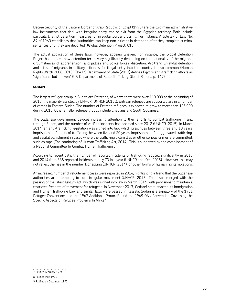Decree Security of the Eastern Border of Arab Republic of Egypt (1995) are the two main administrative law instruments that deal with irregular entry into or exit from the Egyptian territory. Both include particularly strict detention measures for irregular border crossing. For instance, Article 27 of Law No. 89 of 1960 establishes that "authorities can keep non-citizens in detention after they complete criminal sentences until they are deported" (Global Detention Project, 015).

The actual application of these laws, however, appears uneven. For instance, the Global Detention Project has noticed how detention terms vary significantly depending on the nationality of the migrant, circumstances of apprehension, and judges and police forces' discretion. Arbitrary, unlawful detention and trials of migrants in military tribunals for illegal entry into the country is also common (Human Rights Watch 2008, 2013). The US Department of State (2013) defines Egypt's anti-trafficking efforts as "significant, but uneven" (US Department of State Trafficking Global Report, p. 147).

# SUDAN

The largest refugee group in Sudan are Eritreans, of whom there were over 110,000 at the beginning of 2015, the majority assisted by UNHCR (UNHCR 2015c). Eritrean refugees are supported are in a number of camps in Eastern Sudan. The number of Eritrean refugees is expected to grow to more than 125,000 during 2015. Other smaller refugee groups include Chadians and South Sudanese.

The Sudanese government devotes increasing attention to their efforts to combat trafficking in and through Sudan, and the number of verified incidents has declined since 2012 (UNHCR, 2015). In March 2014, an anti-trafficking legislation was signed into law, which prescribes between three and 10 years' imprisonment for acts of trafficking, between five and 20 years' imprisonment for aggravated trafficking, and capital punishment in cases where the trafficking victim dies or other serious crimes are committed, such as rape (The combating of Human Trafficking Act, 2014). This is supported by the establishment of a National Committee to Combat Human Trafficking .

According to recent data, the number of reported incidents of trafficking reduced significantly in 2013 and 2014 from 338 reported incidents to only 73 in a year (UNHCR and IOM, 2015). However, this may not reflect the rise in the number kidnapping (UNHCR, 2014), or other forms of human rights violations.

An increased number of refoulement cases were reported in 2014, highlighting a trend that the Sudanese authorities are attempting to curb irregular movement (UNHCR, 2015). This also emerged with the passing of the latest Asylum Act, which was signed into law in March 2014, with provisions to maintain a restricted freedom of movement for refugees. In November 2013, Gedaref state enacted its Immigration and Human Trafficking Law and similar laws were passed in Kassala. Sudan is a signatory of the 1951 Refugee Convention<sup>7</sup> and the 1967 Additional Protocol<sup>8</sup>, and the 1969 OAU Convention Governing the Specific Aspects of Refugee Problems In Africa<sup>9</sup>.

<sup>7</sup> Ratified February 1974

<sup>8</sup> Ratified May 1974

<sup>9</sup> Ratified on December 1972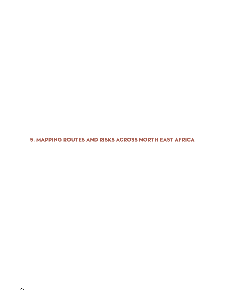5. Mapping routes and risks across North East Africa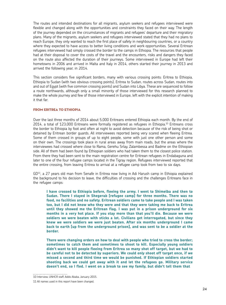The routes and intended destinations for all migrants, asylum seekers and refugees interviewed were flexible and changed along with the opportunities and constraints they faced on their way. The length of the journey depended on the circumstances of migrants and refugees' departure and their migratory plans. Many of the migrants, asylum seekers and refugees interviewed stated that they had no plans to reach Europe, they only wanted to reach the first place of safety in neighbouring countries, or a country where they expected to have access to better living conditions and work opportunities. Several Eritrean refugees interviewed had simply crossed the border to the camps in Ethiopia. The resources that people had at their disposal to cover the costs of the travel and the encounters, risks and dangers they faced on the route also affected the duration of their journeys. Some interviewed in Europe had left their hometowns in 2006 and arrived in Malta and Italy in 2014, others started their journey in 2013 and arrived the following year, in 2014.

This section considers five significant borders, many with various crossing points: Eritrea to Ethiopia Ethiopia to Sudan (with two obvious crossing points), Eritrea to Sudan, routes across Sudan, routes into and out of Egypt (with five common crossing points) and Sudan into Libya. These are sequenced to follow a route northwards, although only a small minority of those interviewed for this research planned to make the whole journey and few of those interviewed in Europe, left with the explicit intention of making it that far.

#### **EDOM EDITDEA TO ETHIOPIA**

Over the last three months of 2014 about 5,000 Eritreans entered Ethiopia each month. By the end of 2014, a total of 123,000 Eritreans were formally registered as refugees in Ethiopia.10 Eritreans cross the border to Ethiopia by foot and often at night to avoid detection because of the risk of being shot or detained by Eritrean border guards. All interviewees reported being very scared when fleeing Eritrea. Some of them crossed in groups of up to eight people, some with just one other person and some on their own. The crossings took place in rural areas away from main roads, but the areas where the interviewees had crossed where close to Rama, Gerehu Srlay, Zalambessa and Badme on the Ethiopian side. All of them had been found by Ethiopian soldiers who had taken them to the closest police station. From there they had been sent to the main registration centre for Eritrean refugees in Endabaguna and later to one of the four refugee camps located in the Tigray region. Refugees interviewed reported that the entire crossing, from leaving Eritrea to arrival at a refugee camp took from two to six days.

GD<sup>11</sup>. a 27 vears old man from Senafe in Eritrea now living in Adi Harush camp in Ethiopia explained the background to his decision to leave, the difficulties of crossing and the challenges Eritreans face in the refugee camps:

**I have crossed to Ethiopia before, fleeing the army. I went to Shimelba and then to Sudan. There I stayed in Shegerab [refugee camp] for three months. There was no food, no facilities and no safety. Eritrean soldiers came to take people and I was taken too, but I did not know who they were and that they were taking me back to Eritrea until they showed me the Eritrean flag. I was put in a prison underground for six months in a very hot place. If you stay more than that you'll die. Because we were soldiers we were beaten with sticks a lot. Civilians get interrogated, but since they knew we were soldiers we were just beaten. After six months underground I came back to earth [up from the underground prison], and was sent to be a soldier at the border.** 

**There were changing orders on how to deal with people who tried to cross the border; sometimes to catch them and sometimes to shoot to kill. Especially young soldiers didn't want to kill people fleeing from Eritrea so many shot off target, but we had to be careful not to be detected by superiors. We could only shoot off target once, if we missed a second and third time we would be punished. If Ethiopian soldiers started shooting back we could get away with it and let the refugees go. Military service doesn't end, so I fled. I went on a break to see my family, but didn't tell them that** 

<sup>10</sup> Interview, UNHCR staff, Addis Ababa, January 2015.

<sup>11</sup> All names used in this report have been changed.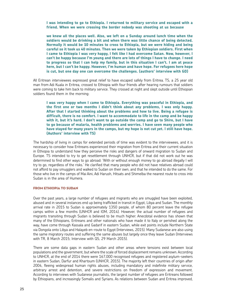**I was intending to go to Ethiopia. I returned to military service and escaped with a friend. When we were crossing the border nobody was shooting at us because** 

**we knew all the places well. Also, we left on a Sunday around lunch time when the soldiers would be drinking a bit and when there was little chance of being detected. Normally it would be 10 minutes to cross to Ethiopia, but we were hiding and being careful so it took us 40 minutes. Then we were taken by Ethiopian soldiers. First when I came to Ethiopia I was very happy, I felt like I had overcome Satan. Now, however, I can't be happy because I'm young and there are lots of things I have to change. I need to progress so that I can help my family, but in this situation I can't. I am at peace here, but I can't be happy. However, I'm human and have hope. For refugees here hope is cut, but one day one can overcome the challenges. (authors' interview with GD)**

All Eritrean interviewees expressed great relief to have escaped safely from Eritrea. TS, a 25 year old man from Adi Kuala in Eritrea, crossed to Ethiopia with four friends after hearing rumours that soldiers were coming to take him back to military service. They crossed at night and slept outside until Ethiopian soldiers found them in the morning:

**I was very happy when I came to Ethiopia. Everything was peaceful in Ethiopia, and the first one or two months I didn't think about any problems, I was only happy. After that I started thinking about the problems and how to live. Being a refugee is difficult, there is no comfort. I want to accommodate to life in the camp and be happy with it, but it's hard. I don't want to go outside the camp and go to Shire, but I have to go because of malaria, health problems and worries. I have seen many people who have stayed for many years in the camps, but my hope is not cut yet. I still have hope. (Authors' interview with TS)**

The hardship of living in camps for extended periods of time was evident to the interviewees, and it is necessary to consider how Eritreans experienced their migration from Eritrea and their current situation in Ethiopia to understand how they perceive the risks and dangers of onward migration to Sudan and Europe. TS intended to try to get resettlement through UNHCR, but if that did not work out he was determined to find other ways to go abroad: 'With or without enough money to go abroad illegally I will try to go, regardless of the risks.' He clarified that many people who did not have relatives abroad could not afford to pay smugglers and walked to Sudan on their own, and that he intended to do the same. For those who live in the camps of Mai Aini, Adi Harush, Hitsats and Shimelba the nearest route to cross into Sudan is in the area of Humera.

#### From ETHIOPIA TO SUDAN

Over the past years, a large number of refugees and migrants who are smuggled have been exploited. abused and in several instances end up being trafficked in transit in Egypt, Libya and Sudan. The monthly arrival rate in 2015 to Sudan is approximately 1350 people, of whom 80 percent leave the refugee camps within a few months (UNHCR and IOM, 2014). However, the actual number of refugees and migrants transiting through Sudan is believed to be much higher. Anecdotal evidence has shown that many of the Ethiopians, Eritreans and other nationals who have made it to Italy or perished along the way, have come through Kassala and Gadarif in eastern Sudan, while exit points include Northern State via Dongola onto Libya and Halayeb en-route to Egypt (Interviews, 2015). Many Sudanese are also using the same migratory routes and suffering the same abuses but largely once they leave Sudan (Interviews with TR, 8 March 2015; Interview with QS, 29 March 2015).

There are some data gaps in eastern Sudan and other areas where tensions exist between local populations and the government, but where the scale of forced displacement remains unknown. According to UNHCR, at the end of 2014 there were 167,000 recognised refugees and registered asylum-seekers in eastern Sudan, Darfur and Khartoum (UNHCR, 2015). The majority left their countries of origin after 2004, fleeing widespread human rights abuses, including mandatory and indefinite military service, arbitrary arrest and detention, and severe restrictions on freedom of expression and movement. According to interviews with Sudanese journalists, the largest number of refugees are Eritreans followed by Ethiopians, and increasingly Somalis and Syrians. As relations between Sudan and Eritrea improved,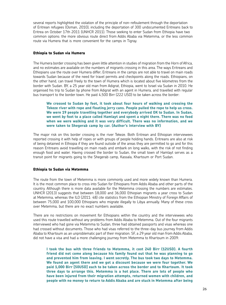several reports highlighted the violation of the principle of non-refoulement through the deportation of Eritrean refugees (Osman, 2010), including the deportation of 300 undocumented Eritreans back to Eritrea on October 17th 2011 (UNHCR 2011). Those seeking to enter Sudan from Ethiopia have two common options: the more obvious route direct from Addis Ababa via Metemma, or the less common route via Humera that is more convenient for the camps in Tigray.

# **Ethiopia to Sudan via Humera**

The Humera border crossing has been given little attention in studies of migration from the Horn of Africa, and no estimates are available on the numbers of migrants crossing in this area. The ways Eritreans and Ethiopians use the route over Humera differ; Eritreans in the camps are not able to travel on main roads towards Sudan because of the need for travel permits and checkpoints along the roads. Ethiopians, on the other hand, can travel freely to the town of Humera which is located about five kilometres from the border with Sudan. BY, a 25 year old man from Adigrat, Ethiopia, went to Israel via Sudan in 2010. He organised his trip to Sudan by phone from Adigrat with an agent in Humera, and travelled with regular bus transport to the border town. He paid 4,500 Birr (222 USD) to be taken across the border:

**We crossed to Sudan by foot, it took about four hours of walking and crossing the Tekeze river with rope and floating jerry cans. People pulled the rope to help us cross. We were 19 people travelling together and everybody arrived OK to Sudan. In Sudan, we went by foot to a place called Hamlayt and spent a night there. There was no food when we were walking and it was very difficult. There was no information, and we were taken to Shegerab camp by car. (Author's interview with BY)**

The major risk on this border crossing is the river Tekeze. Both Eritrean and Ethiopian interviewees reported crossing it with help of ropes or with groups of people holding hands. Eritreans are also at risk of being detained in Ethiopia if they are found outside of the areas they are permitted to go and for this reason Eritreans avoid travelling on main roads and embark on long walks, with the risk of not finding enough food and water. Having crossed the border to Sudan, the small town of Hamlayt serves as a transit point for migrants going to the Shegerab camp, Kassala, Khartoum or Port Sudan.

# **Ethiopia to Sudan via Metemma**

The route from the town of Metemma is more commonly used and more widely known than Humera. It is the most common place to cross into Sudan for Ethiopians from Addis Ababa and other parts of the country. Although there is more data available for the Metemma crossing the numbers are estimates. UNHCR (2013) suggests that between 18,000 and 36,000 Ethiopian migrants a year cross to Sudan at Metemma, whereas the ILO (2011: 48) cite statistics from the Ethiopian Ministry of Foreign Affairs of between 75,000 and 100,000 Ethiopians who migrate illegally to Libya annually. Many of these cross over Metemma, but there are no exact numbers available.

There are no restrictions on movement for Ethiopians within the country and the interviewees who used this route travelled without any problems from Addis Ababa to Metemma. Out of the four migrants interviewed who had gone via Metemma to Sudan, three had obtained passports and visas whereas one had crossed without documents. Those who had visas referred to the three-day bus journey from Addis Ababa to Khartoum as an unproblematic part of their migration. SF, a 29 year old man from Addis Ababa, did not have a visa and had a more challenging journey from Metemma to Khartoum in 2009:

**I took the bus with three friends to Metemma, it cost 240 Birr (12USD). A fourth friend did not come along because his family found out that he was planning to go and prevented him from leaving. I went secretly. The bus took two days to Metemma. We found an agent there and we got a discount because we were four together. We paid 1,000 Birr [50USD] each to be taken across the border and to Khartoum. It took three days to arrange this. Metemma is a hot place. There are lots of people who have been injured from their migration attempts, returned women with children, and people with no money to return to Addis Ababa and are stuck in Metemma after being**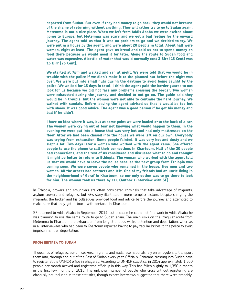**deported from Sudan. But even if they had money to go back, they would not because of the shame of returning without anything. They will rather try to go to Sudan again. Metemma is not a nice place. When we left from Addis Ababa we were excited about going to Europe, but Metemma was scary and we got a bad feeling for the onward journey. The agent told us that it was no problem to go and we decided to try. We were put in a house by the agent, and were about 20 people in total. About half were women, eight at least. The agent gave us bread and told us not to spend money on food there because we would need it for later. Along the route to Sudan food and water was expensive. A bottle of water that would normally cost 3 Birr [15 Cent] was 15 Birr [75 Cent].** 

**We started at 7pm and walked and ran at night. We were told that we would be in trouble with the police if we didn't make it to the planned hut before the night was over. We were put into small huts during the daytime to avoid being caught by the police. We walked for 15 days in total. I think the agent paid the border guards to not look for us because we did not face any problems crossing the border. Two women were exhausted during the journey and decided to not go on. The guide said they would be in trouble, but the women were not able to continue the hard journey. We walked with sandals. Before leaving the agent advised us that it would be too hot with shoes. It was good advice. The agent was a good person if he got his money and bad if he didn't.** 

**I have no idea where it was, but at some point we were loaded onto the back of a car. The women were crying out of fear not knowing what would happen to them. In the evening we were put into a house that was very hot and had only mattresses on the floor. After we had been chased into the house we were left on our own. Everybody was crying from exhaustion. Some people fainted. It was very hot and dusty and we slept a lot. Two days later a woman who worked with the agent came. She offered people to use the phone to call their connections in Khartoum. Half of the 20 people had connections, and the rest of us considered and discussed what to do and thought it might be better to return to Ethiopia. The woman who worked with the agent told us that we would have to leave the house because the next group from Ethiopia was coming soon. We were seven people who remained in the house, five men and two women. All the others had contacts and left. One of my friends had an uncle living in the neighbourhood of Geraf in Khartoum, so our only option was to go there to look for him. The woman took us there by car. (Author's interview with SF)**

In Ethiopia, brokers and smugglers are often considered criminals that take advantage of migrants, asylum seekers and refugees, but SF's story illustrates a more complex picture. Despite charging the migrants, the broker and his colleagues provided food and advice before the journey and attempted to make sure that they got in touch with contacts in Khartoum.

SF returned to Addis Ababa in September 2014, but because he could not find work in Addis Ababa he was planning to use the same route to go to Sudan again. The main risks on the irregular route from Metemma to Khartoum are exhaustion from long strenuous walks, detention and deportation, whereas in all interviewees who had been to Khartoum reported having to pay regular bribes to the police to avoid imprisonment or deportation.

# From Eritrea TO SUDAN

Thousands of refugees, asylum seekers, migrants and Sudanese nationals rely on smugglers to transport them into, through and out of the East of Sudan every year. Officially, Eritreans crossing into Sudan have to register at the UNHCR office in Shagarab. According to UNHCR statistics, in 2014 approximately 1,500 people per month arrived and registered officially in this way. This has fallen slightly to 1,350 a month in the first few months of 2015. The unknown number of people who cross without registering are obviously not included in these statistics, though expert interviews suggested that there were probably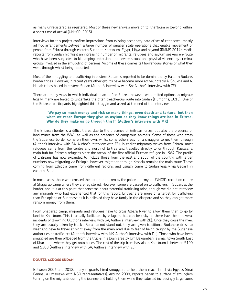as many unregistered as registered. Most of these new arrivals move on to Khartoum or beyond within a short time of arrival (UNHCR, 2015).

Interviews for this project confirm impressions from existing secondary data of set of connected, mostly ad hoc arrangements between a large number of smaller scale operations that enable movement of people from Eritrea through eastern Sudan to Khartoum, Egypt, Libya and beyond (RMMS 2014). Media reports from Sudan highlight an increasing number of migrants, refugees and asylum seekers en-route who have been subjected to kidnapping, extortion, and severe sexual and physical violence by criminal groups involved in the smuggling of persons. Victims of these crimes tell horrendous stories of what they went through whilst being abducted.

Most of the smuggling and trafficking in eastern Sudan is reported to be dominated by Eastern Sudan's border tribes. However, in recent years other groups have become more active, notably Al Shukria and Al Habab tribes based in eastern Sudan (Author's interview with SA; Author's interview with ZE).

There are many ways in which individuals plan to flee Eritrea, however with limited options to migrate legally, many are forced to undertake the often treacherous route into Sudan (Humphris, 2013). One of the Eritrean participants highlighted this struggle and asked at the end of the interview:

# **"We pay so much money and risk so many things, even death and torture, but then when we reach Europe they give us asylum as they know things are bad in Eritrea. Why do they make us go through this?" (Author's interview with MK)**

The Eritrean border is a difficult area due to the presence of Eritrean forces, but also the presence of land mines from the WWII as well as the presence of dangerous animals. Some of those who cross the Sudanese border come on their own, whilst some others pay for a smuggler to get them through (Author's interview with SA; Author's interview with ZE). In earlier migratory waves from Eritrea, most refugees came from the centre and north of Eritrea and travelled directly to or through Kassala, a main hub for Eritrean refugees since the arrival of the first official Eritrean refugee in 1964. The profile of Eritreans has now expanded to include those from the east and south of the country, with larger numbers now migrating via Ethiopia; however, migration through Kassala remains the main route. Those coming from Ethiopia come from different regions, and usually come to Sudan legally via Gadarif in eastern Sudan.

In most cases, those who crossed the border are taken by the police or army to UNHCR's reception centre at Shagarab camp where they are registered. However, some are passed on to traffickers in Sudan, at the border, and it is at this point that concerns about potential trafficking arise, though we did not interview any migrants who had experienced that for this report. Eritreans are more of a target for trafficking than Ethiopians or Sudanese as it is believed they have family in the diaspora and so they can get more ransom money from them.

From Shagarab camp, migrants and refugees have to cross Atbara River to allow them then to go by land to Khartoum. This is usually facilitated by villagers, but can be risky as there have been several incidents of drowning (Author's interview with SA; Author's interview with ZE). Once they cross the river, they are usually taken by trucks. So as to not stand out, they are given traditional Sudanese dress to wear and have to travel at night away from the main road due to fear of being caught by the Sudanese authorities or traffickers (Author's interview with MK; Author's interview with DL). Those who have been smuggled are then offloaded from the trucks in a bush area by Um Dawamban, a small town South East of Khartoum, where they get onto buses. The cost of the trip from Kassala to Khartoum is between \$100 and \$300 (Author's interview with SA; Author's interview with ZE).

# Routes across sudan

Between 2006 and 2012, many migrants hired smugglers to help them reach Israel via Egypt's Sinai Peninsula (inteviews with NGO representatives). Around 2009, reports began to surface of smugglers turning on the migrants during the journey and holding them while they extorted increasingly large sums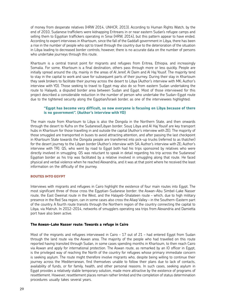of money from desperate relatives (HRW 2014, UNHCR, 2013). According to Human Rights Watch, by the end of 2010, Sudanese traffickers were kidnapping Eritreans in or near eastern Sudan's refugee camps and selling them to Egyptian traffickers operating in Sinai (HRW, 2014), but this pattern appear to have ended. According to expert interviews in Khartoum, since the fall of the Gaddafi government in Libya, there has been a rise in the number of people who opt to travel through the country due to the deterioration of the situation in Libya leading to decreased border controls; however, there is no accurate data on the number of persons who undertake journeys through this route.

Khartoum is a central transit point for migrants and refugees from Eritrea, Ethiopia, and increasingly Somalia. For some, Khartoum is a final destination, others pass through more or less quickly. People are initially spread around the city, mainly in the areas of Al Jereif, Al Daim and Al Haj Yousif. The majority tend to stay in the capital to work and save for subsequent parts of their journey. During their stay in Khartoum they seek brokers to facilitate their journey across the desert to Libya (Author's interview with MK; Author's interview with YD). Those seeking to travel to Egypt may also do so from eastern Sudan undertaking the route to Halayeb, a disputed border area between Sudan and Egypt. Most of those interviewed for this project described a considerable reduction in the number of person who undertake the Sudan-Egypt route due to the tightened security along the Egyptian/Israeli border, as one of the interviewees highlighted:

# **"Egypt has become very difficult, so now everyone is focusing on Libya because of there is no government". (Author's interview with YD)**

The main route from Khartoum to Libya is also the Dongola in the Northern State, and then onwards through the desert to Kufra on the Sudanese/Libyan border. Souq Libya and Al Haj Yousif are key transport hubs in Khartoum for those travelling in and outside the capital (Author's interview with ZE). The majority of those smuggled are transported in buses to avoid attracting attention, and after passing the last checkpoint in Khartoum State towards the Dongola people are transferred into pick-up trucks (referred to as thatcher) for the desert journey to the Libyan border (Author's interview with SA; Author's interview with ZE; Author's interview with TR). QS, who went by road to Egypt both had his trips sponsored by relatives who were directly involved in smuggling. QS was reluctant to speak in detail regarding his trip across the Sudanese/ Egyptian border as his trip was facilitated by a relative involved in smuggling along that route. He faced physical and verbal violence when he reached Alexandria, and it was at that point where he received the least information on the difficulty of the journey.

# ROUTES INTO EGYPT

Interviews with migrants and refugees in Cairo highlight the existence of four main routes into Egypt. The most significant three of those cross the Egyptian-Sudanese border: the Aswan-Abu Simbel-Lake Nasser route, the East Oweinat route in the West, and the Halayeb-Shalateen route – which, due to high military presence in the Red Sea region, can in some cases also cross the Allaqi Valley – in the Southern-Eastern part of the country. A fourth route transits through the Northern region of the country connecting the capital to Libya, via Matruh. In 2012-2014, networks of smugglers operating sea trips from Alexandria and Damietta port have also been active.

#### **The Aswan-Lake Nasser route: Towards a refuge in Cairo**

Most of the migrants and refugees interviewed in Cairo – 17 out of 21 – had entered Egypt from Sudan through the land route via the Aswan area. The majority of the people who had travelled on this route reported having transited through Sudan, in some cases spending months in Khartoum, to then reach Cairo via Aswan and apply for international protection. The Aswan route, as remarked by an IO officer in Egypt, is the privileged way of reaching the North of the country for refugees whose primary immediate concern is seeking asylum. The route might therefore involve migrants who, despite being willing to continue their journey across the Mediterranean, find themselves unable to follow their plans due to lack of contacts, availability of funds, or for family, health, and other personal reasons. In such cases, seeking asylum in Egypt provides a relatively stable temporary solution, made more attractive by the existence of programs of resettlement. However, resettlement places remain rather limited and the completion of status determination procedures usually takes several years.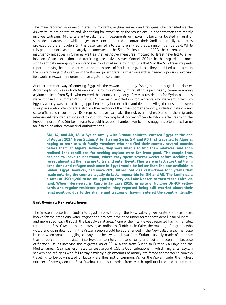The main reported risks encountered by migrants, asylum seekers and refugees who transited via the Aswan route are detention and kidnapping for extortion by the smugglers – a phenomenon that mainly involves Eritreans. Migrants are typically held in basements or makeshift buildings located in rural or semi-desert areas and, while subject to violence, required to contact their families – usually by phones provided by the smugglers (in this case, turned into traffickers) – so that a ransom can be paid. While this phenomenon has been largely documented in the Sinai Peninsula until 2013, the current counterinsurgency initiatives in Sinai as well as the restrictive measures imposed by Israel have led to a relocation of such extortion and trafficking-like activities (see Connell 2014). In this regard, the most significant data emerging from interviews conducted in Cairo in 2015 is that 5 of the 6 Eritrean migrants reported having been held for extortion in an area of Southern Egypt that they identified as located in the surroundings of Aswan, or in the Aswan governorate. Further research is needed – possibly involving fieldwork in Aswan – in order to investigate these claims.

Another common way of entering Egypt via the Aswan route is by fishing boats through Lake Nasser. According to sources in both Aswan and Cairo, this modality of travelling is particularly common among asylum seekers from Syria who entered the country irregularly after visa restrictions for Syrian nationals were imposed in summer 2013. In 2014, the main reported risk for migrants who were smuggled into Egypt via ferry was that of being apprehended by border police and detained. Alleged collusion between smugglers – who often operate also in other sectors of the cross-border economy, including fishing – and state officers is reported by NGO representatives to make the risk even higher. Some of the migrants interviewed reported episodes of corruption involving local border officers to whom, after reaching the Egyptian port of Abu Simbel, migrants would have been handed over by the smugglers, often in exchange for fishing or other commercial authorizations.

**SM, 34, and AD, 45, a Syrian family with 3 small children, entered Egypt at the end of August 2014 from Sudan. After fleeing Syria, SM and AD first travelled to Algeria, hoping to reunite with family members who had fled their country several months before them. In Algiers, however, they were unable to find their relatives, and soon realised that conditions for seeking asylum were far from good. The couple thus decided to leave to Khartoum, where they spent several weeks before deciding to invest almost all their saving to try and enter Egypt. They were in fact sure that living conditions and refugee assistance in Egypt would be better than the one available in Sudan. Egypt, however, had since 2013 introduced visa restrictions for Syrians that made entering the country legally de facto impossible for SM and AD. The family paid a total of USD 1,200 to be smuggled by ferry via Lake Nasser, to then reach Cairo via land. When interviewed in Cairo in January 2015, in spite of holding UNHCR yellow cards and regular residence permits, they reported being still worried about their legal position, due to the shame and trauma of having entered the country illegally.**

# **East Oweinat: Re-routed hopes**

The Western route from Sudan to Egypt passes through the New Valley governorate – a desert area known for the ambitious water engineering projects developed under former president Hosni Mubarak – and more specifically through the East Oweinat area. None of the interviewees reported having transited through the East Oweinat route, however, according to IO officers in Cairo, the majority of migrants who would end up in detention in the Aswan region would be apprehended in the New Valley area. The route is used when small smuggling convoys on their way to Libya from Sudan – usually made of no more than three cars – are deviated into Egyptian territory due to security and logistic reasons, or because of financial issues involving the migrants. As of 2014, a trip from Sudan to Europe via Libya and the Mediterranean Sea was estimated to cost around USD 3,000. Situations in which migrants, asylum seekers and refugees who fail to pay similarly high amounts of money are forced to transfer to convoys travelling to Egypt – instead of Libya – are thus not uncommon. As for the Aswan route, the highest number of convoys on the East Oweinat route is recorded from March-April until the end of summer.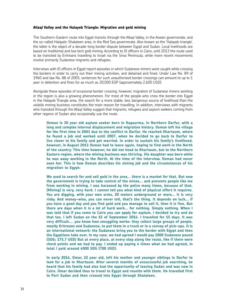## **Allaqi Valley and the Halayeb Triangle: Migration and gold mining**

The Southern-Eastern route into Egypt transits through the Allaqi Valley, in the Aswan governorate, and the so-called Halayeb-Shalateen area, in the Red Sea governorate. Also known as the 'Halayeb triangle', the latter is the object of a decade-long border dispute between Egypt and Sudan. Local livelihoods are based on traditional and low tech gold mining. According to IO officers in Cairo, until 2013 the route used to be transited by Eritreans travelling to Israel via the Sinai Peninsula, while more recent movements involve primarily Sudanese migrants and refugees.

Interviews with IO officers in Egypt report episodes in which Sudanese miners were caught while crossing the borders in order to carry out their mining activities, and detained and fined. Under Law No. 89 of 1960 and law No. 88 of 2005, sentences for such unauthorized border crossings can amount to up to 1 year in detention and fines for as much as 20,000 EGP (approximately 2,600 USD).

Alongside these episodes of occasional border crossing, however, migration of Sudanese miners working in the region is also a growing phenomenon. For most of the people who cross the border into Egypt in the Halayeb Triangle area, the search for a more stable, less dangerous source of livelihood than the volatile mining business constitutes the main reason for travelling. In addition, interviews with migrants who transited through the Allaqi Valley suggest that migrants, refugees and asylum seekers coming from other regions of Sudan also occasionally use the route.

**Osman is 30 year old asylum seeker born in Kagourma, in Northern Darfur, with a long and complex internal displacement and migration history. Osman left his village for the first time in 2003 due to the conflict in Darfur. He reached Khartoum, where he found a job and worked until 2007, when he decided to go back to Darfur to live closer to his family and get married. In order to sustain his family's livelihood, however, in August 2013 Osman had to leave again, hoping to find work in the North of the country. This time however, he did not head to Khartoum, but to the Northern Eastern region, where the mining business was thriving. His daughter was born while he was away working in the North. At the time of the interview, Osman had never seen her. This is how Osman describes his mining job and the circumstances of his migration to Egypt:**

**We used to search for and sell gold in the area… there is a market for that. But now the government is trying to take control of the mines… and prevents people like me from working in mining. I was harassed by the police many times, because of that. (Mining) is very, very hard. I cannot tell you what kind of physical effort it requires. You are digging, with your own arms, 20 meters underground or more… it is very risky. And money-wise, you can never tell, that's the thing. It depends on luck… if you have a good day and you find gold and you manage to sell it, then it is fine. But there are days when it is a lot of hard work… for nothing. Simply nothing. When I was told that if you come to Cairo you can apply for asylum, I decided to try and do that too. I left Sudan on the 15 of September 2014. I travelled for 15 days. It was very difficult…. you know how smuggling works: they collect large groups of people, mostly Eritreans and Sudanese, to put them in a truck or in a convoy of pick-ups. It is an international network: the Sudanese bring you to the border with Egypt and then the Egyptians take over. In my case, we had agreed I would pay 1000 Sudanese pound (SDG; 175,7 USD) But at every place, at every stop along the route, like if there were check points and we had to pay. I ended up paying 4 times what we had agreed, in total I paid around 4000 SDG (700 USD).** 

**In early 2014, Omar, 22 year old, left his mother and younger siblings in Darfur to look for a job in Khartoum. After several months of unsuccessful job searching, he heard that his family had also had the opportunity of leaving Sudan and was now in Cairo. Omar decided thus to travel to Egypt and reunite with them. He travelled first to Port Sudan and then crossed into Egypt through Shalateen.**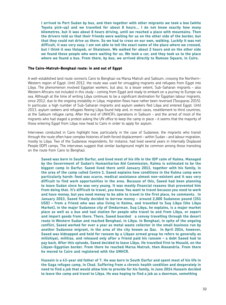**I arrived to Port Sudan by bus, and then together with other migrants we took a box (white Toyota pick-up) and we travelled for about 8 hours… I do not know exactly how many kilometres, but it was about 8 hours driving, until we reached a place with mountains. Then the drivers told us that their friends were waiting for us on the other side of the border, but that they could not drive us there. So we had to cross on our own, walking. Luckily it was not difficult, it was very easy. I am not able to tell the exact name of the place where we crossed, but I think it was Halayeb, or Shalateen. We walked for about 2 hours and on the other side we found these people who were waiting for us. We took a car, and they took us to the place where we found a bus. From there, by bus, we arrived directly to Ramses Square, in Cairo.**

# **The Cairo-Matruh-Benghazi route: in and out of Egypt**

A well-established land route connects Cairo to Benghazi via Marsa Matruh and Salloum, crossing the Northern-Western region of Egypt. Until 2012, the route was used for smuggling migrants and refugees from Egypt into Libya. The phenomenon involved Egyptian workers, but also, to a lesser extent, Sub-Saharan migrants – also Western Africans not included in this study – coming from Egypt and ready to embark on a journey to Europe via sea. Although at the time of writing Libya continues to be a significant destination for Egyptian labour migrants, since 2012, due to the ongoing instability in Libya, migration flows have rather been reversed (Tsouparas 2015). In particular, a high number of Sub-Saharan migrants and asylum seekers fled Libya and entered Egypt. Until 2013, asylum seekers and refugees fleeing Libya found help and, in most cases, resettlement to third countries, at the Salloum refugee camp. After the end of UNHCR's operations in Salloum – and the arrest of most of the migrants who had staged a protest asking the UN office to keep the camp in place – it seems that the majority of those entering Egypt from Libya now head to Cairo in order to apply for asylum.

Interviews conducted in Cairo highlight how, particularly in the case of Sudanese, the migrants who transit through the route often have complex histories of both forced displacement – within Sudan – and labour migration, mostly to Libya. Two of the Sudanese respondents, for instance, had lived several years in Internally Displaced People (IDP) camps. The interviews suggest that similar background might be common among those transiting on the route from Cairo to Benghazi.

**Saeed was born in South Darfur, and lived most of his life in the IDP calm of Kalma. Managed by the Government of Sudan's Humanitarian Aid Commission, Kalma is estimated to be the biggest camp in Darfur. Saeed lived there until January 2013, together with his family, in the area of the camp called Centre 1. Saeed explains how conditions in the Kalma camp were particularly harsh: food was scarce, medical assistance almost non-existent and it was very difficult to find work opportunities in the area. Because of this, Saeed had been planning to leave Sudan since he was very young. It was mostly financial reasons that prevented him from doing that. It's difficult to travel, you know. You want to travel because you need to work and have money, but you need money to be able to travel in the first place, he comments. In January 2013, Saeed finally decided to borrow money – around 2,000 Sudanese pound (351 USD) – from a friend who was also living in Kalma, and travelled to Suq Libya (the Libya Market), in the major Sudanese city of Omdurman. Suq Libya, he explains, is a major market place as well as a bus and taxi station for people who travel to and from Libya, or export and import goods from there. There, Saeed boarded a convoy travelling through the desert route in Western Sudan and reached Benghazi, in Libya. In Benghazi, in spite of the ongoing conflict, Saeed worked for over a year as metal waste collector in the small business run by another Sudanese migrant, in the area of the city known as Qas. In April 2014, however, Saeed was kidnapped and held for ransom by a Libyan armed group he refers to generally as milishiyat, militias, and released only after a friend paid his ransom – a debt Saeed had to pay back. After this episode, Saeed decided to leave Libya. He travelled first to Musaid, on the Libyan-Egyptian border. From there he reached Marsa Matruh, then Alexandria. From there he moved to Cairo and registered with the UNHCR.** 

**Hussein is a 43-year old father of 7. He was born in South Darfur and spent most of his life in the Gaga refugee camp, in Chad. Suffering from a chronic health condition and desperately in need to find a job that would allow him to provide for his family, in June 2014 Hussein decided to leave the camp and travel to Libya. He was hoping to find a job as a doorman, something**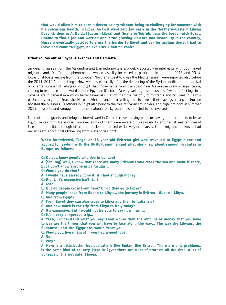**that would allow him to earn a decent salary without being to challenging for someone with his precarious health. In Libya, he first went Jalo (an oasis in the Northern-Eastern Libyan Desert), then to Al Baida (Eastern Libya) and finally to Tobruk, near the border with Egypt. Unable to find a job and worried about the growing violence and instability in the country, Hussein eventually decided to cross the border to Egypt and ask for asylum there. I had to leave and come to Egypt, he explains. I had no choice.**

#### **Other routes out of Egypt: Alexandra and Damietta**

**upheaval. It is not safe. (Tsega)**

Smuggling via sea from the Alexandria and Damietta ports is a widely-reported – in interviews with both mixed migrants and IO officers – phenomenon whose visibility increased in particular in summer 2013 and 2014. Occasional boats leaving from the Egyptian Northern Coast to cross the Mediterranean were reported also before the 2011-2012 Arab uprisings. However, it is especially after the deepening of the Syrian conflict and the arrival of a large number of refugees in Egypt that movements from the coast near Alexandria grew in significance, coming to resemble, in the words of one Egyptian IO officer, "a very well organized business", with perfect logistics. Syrians are in general in a much better financial situation than the majority of migrants and refugees in Cairo – particularly migrants from the Horn of Africa – and their willingness to invest their savings in trip to Europe boosted the business. IO officers in Egypt also point to the role of Syrian smugglers, and highlight how, in summer 2014, migrants and smugglers of other national backgrounds also started to be involved.

None of the migrants and refugees interviewed in Cairo disclosed having plans or having made contacts to leave Egypt via sea from Alexandria. However, some of them were aware of this possibility, and had at least an idea of fares and modalities, though often not detailed and based exclusively on hearsay. Other migrants, however, had never heard about boats travelling from Alexandria's port.

# **When interviewed, Tsega, an 18-year old Eritrean girl who travelled to Egypt alone and applied for asylum with the UNHCR, summarized what she knew about smuggling routes to Europe as follows:**

**Q: Do you know people who live in London? A: (Smiling) Well, I know that there are many Eritreans who cross the sea and make it there, but I don't know anyone in particular… Q: Would you do that? A: I would have already done it, if I had enough money! Q: Right. It's expensive isn't it…? A: Yeah… Q: But do people cross from here? Or do they go to Libya? A: Many people leave from Sudan to Libya… the journey is Eritrea – Sudan – Libya. Q: And from Egypt? A: From Egypt they can also cross to Libya and then to Italia (sic) Q: And how much is the trip from Libya to Italy today? A: It's expensive. But I would not be able to say how much… Q: It's a very dangerous trip… A: Yeah, I understand what you say. Even worse than the amount of money that you have to pay are the things that you will have to face along the way… The way the Libyans, the Sudanese, and the Egyptians would treat you. Q: Would you live in Egypt if you had a good job? A: No. Q: Why? A: Here is a little better, but basically is like Sudan, like Eritrea. There are only problems, is the same kind of country. Here in Egypt there are a lot of protests all the time, a lot of** 

33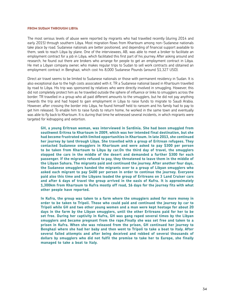#### From Sudan through Libya

The most serious levels of abuse were reported by migrants who had travelled recently (during 2014 and early 2015) through southern Libya. Most migration flows from Khartoum among non-Sudanese nationals take place by road. Sudanese nationals are better positioned, and depending of financial support available to them, seek to reach Libya by plane. One of the interviewees, AB, was able to meet a broker to facilitate an employment contract for a job in Libya, which facilitated this first part of his journey. After asking around and research, he found out there are brokers who arrange for people to get an employment contract in Libya. He met a Libyan company owner, who makes regular trips to Sudan to sell work contracts and obtained an employment contract in Benghazi, which cost his 8,000 Sudanese Pounds (around \$1,327 USD).

Direct air travel seems to be limited to Sudanese nationals or those with permanent residency in Sudan. It is also exceptional due to the high costs associated with it. TR a Sudanese national based in Khartoum travelled by road to Libya. His trip was sponsored by relatives who were directly involved in smuggling. However, this did not completely protect him as he travelled outside the sphere of influence or links to smugglers across the border. TR travelled in a group who all paid different amounts to the smugglers, but he did not pay anything towards the trip and had hoped to gain employment in Libya to raise funds to migrate to Saudi Arabia. However, after crossing the border into Libya, he found himself held to ransom and his family had to pay to get him released. To enable him to raise funds to return home, he worked in the same town and eventually was able to fly back to Khartoum. It is during that time he witnessed several incidents, in which migrants were targeted for kidnapping and extortion.

**GH, a young Eritrean woman, was interviewed in Sardinia. She had been smuggled from southwest Eritrea to Khartoum in 2009, which was her intended final destination, but she had become frustrated with limited opportunities in Khartoum. In late 2013, she continued her journey by land through Libya. She travelled with a group of Eritrean refugees. They contacted Sudanese smugglers in Khartoum and were asked to pay \$300 per person to be taken from Khartoum to Libya by car.On the third day of travel, the smugglers stopped the cars in the middle of the desert and demanded a further \$300 for each passenger. If the migrants refused to pay, they threatened to leave them in the middle of the Libyan Sahara. The migrants paid and continued the journey. After another four days, the Sudanese smugglers handed the migrants over to a group of Libyan smugglers who asked each migrant to pay \$400 per person in order to continue the journey. Everyone paid also this time and the Libyans loaded the group of Eritreans on 3 Land Cruiser cars and after 6 days of travel the group arrived in the oasis of Kufra. It is approximately 1,300km from Khartoum to Kufra mostly off road, 16 days for the journey fits with what other people have reported.** 

**In Kufra, the group was taken to a farm where the smugglers asked for more money in order to be taken to Tripoli. Those who could paid and continued the journey by car to Tripoli while GH and two other young women and a man were kept hostage for about 20 days in the farm by the Libyan smugglers, until the other Eritreans paid for her to be set free. During her captivity in Kufra, GH was gang raped several times by the Libyan smugglers and became pregnant from the rape.Finally she was set free and taken to a prison in Kufra. When she was released from the prison, GH continued her journey to Benghazi where she had her baby and then went to Tripoli to take a boat to Italy. After several failed attempts and after being deceived and robbed of several thousands of dollars by smugglers who did not fulfil the promise to take her to Europe, she finally managed to take a boat to Italy.**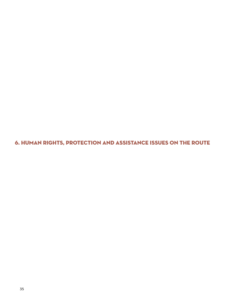6. human rights, protection and assistance issues on the route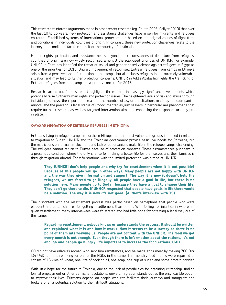This research reinforces arguments made in other recent research (eg. Coutin 2003; Collyer 2010) that over the last 10 to 15 years, new protection and assistance challenges have arisen for migrants and refugees en route. Established systems of international protection are based on the original causes of flight from and conditions in individuals' countries of origin. In contrast, these new protection challenges relate to the journey and conditions faced in transit or the country of destination.

Human rights, protection and assistance needs beyond the circumstances of departure from refugees' countries of origin are now widely recognised amongst the publicised priorities of UNHCR. For example, UNHCR in Cairo has identified the threat of sexual and gender based violence against refugees in Egypt as one of the priorities for 2015. Onward movement of recognised Eritrean refugees from camps in Ethiopia arises from a perceived lack of protection in the camps, but also places refugees in an extremely vulnerable situation and may lead to further protection concerns. UNHCR in Addis Ababa highlights the trafficking of Eritrean refugees from the camps as a priority concern for 2015.

Research carried out for this report highlights three other, increasingly significant developments which potentially raise further human rights and protection issues. The heightened levels of risk and abuse through individual journeys, the reported increase in the number of asylum applications made by unaccompanied minors, and the precarious legal status of undocumented asylum seekers in particular are phenomena that require further research, as well as targeted intervention aimed at enhancing the response currently put in place.

#### Onward migration of Eritrean Refugees in Ethiopia

Eritreans living in refugee camps in northern Ethiopia are the most vulnerable groups identified in relation to migration to Sudan. UNHCR and the Ethiopian government provide basic livelihoods for Eritreans, but the restrictions on formal employment and lack of opportunities make life in the refugee camps challenging. The refugees cannot return to Eritrea because of protection concerns. These circumstances put them in a precarious condition where the only chance for making a better life for themselves and their families is through migration abroad. Their frustrations with the limited protection was aimed at UNHCR:

**They [UNHCR] don't help people and why try for resettlement when it is not possible? Because of this people will go in other ways. Many people are not happy with UNHCR and the way they give information and support. The way it is now it doesn't help the refugees, we are forced to go illegally. All people have a goal in life, but there is no solution here. Many people go to Sudan because they have a goal to change their life. They don't go there to die. If UNHCR respected that people have goals in life there would be a solution. The way it is now it's not good. (Author's interview with TS)**

The discontent with the resettlement process was partly based on perceptions that people who were eloquent had better chances for getting resettlement than others. With feelings of injustice in who were given resettlement, many interviewees were frustrated and had little hope for obtaining a legal way out of the camps:

**Regarding resettlement, nobody knows or understands the process. It should be written and explained what it is and how it works. Now it seems to be a lottery so there is no point of them interviewing us. People are not content with the UNHCR. The food we get every month is not enough. Even though there is information about the rations, it's not enough and people go hungry. It's important to increase the food rations. (GD)**

GD did not have relatives abroad who sent him remittances, and he made ends meet by making 700 Birr [34 USD] a month working for one of the NGOs in the camp. The monthly food rations were reported to consist of 15 kilos of wheat, one litre of cooking oil, one soap, one cup of sugar, and some protein powder.

With little hope for the future in Ethiopia, due to the lack of possibilities for obtaining citizenship, finding formal employment or other permanent solutions, onward migration stands out as the only feasible option to improve their lives. Eritreans depend on people who can facilitate their journeys and smugglers and brokers offer a potential solution to their difficult situations.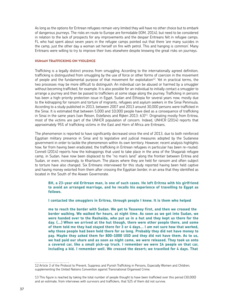As long as the options for Eritrean refugees remain very limited they will have no other choice but to embark of dangerous journeys. The risks en route to Europe are formidable (IOM, 2014), but need to be considered in relation to the lack of prospects for any improvements and the despair Eritreans felt in refugee camps. FL who had spent about seven years in the refugee camps pointed out that there 'are many suicides in the camp, just the other day a woman set herself on fire with petrol. This and hanging is common'. Many Eritreans were willing to try to improve their lives elsewhere despite knowing the great risks on journeys.

#### HUMAN TRAFFICKING ON VIOLENCE

Trafficking is a legally distinct process from smuggling. According to the internationally agreed definition, trafficking is distinguished from smuggling by the use of force or other forms of coercion in the movement of people and the fundamental purpose of that movement for exploitation $12$ . Yet in practical terms, the two processes may be more difficult to distinguish. An individual can be abused or harmed by a smuggler without becoming trafficked, for example. It is also possible for an individual to initially contact a smuggler to arrange a journey and then be passed to traffickers at some stage along the journey. Trafficking in persons has been a high-priority protection issue in Egypt, Sudan and Ethiopia for several years now, mostly due to the kidnapping for ransom and torture of migrants, refugees and asylum seekers in the Sinai Peninsula. According to a study published in 2013, between 2007 and 2013 around 30,000 persons were trafficked in the Sinai. It is estimated that between 5,000 and 10,000 people have died as a consequence of trafficking in Sinai in the same years (van Reisen, Estefanos and Rijken 2013: 63)13 . Originating mostly from Eritrea, most of the victims are part of the UNHCR population of concern. Indeed, UNHCR (2014) reports that approximately 95% of trafficking victims in the East and Horn of Africa are Eritreans.

The phenomenon is reported to have significantly decreased since the end of 2013, due to both reinforced Egyptian military presence in Sinai and to legislative and judicial measures adopted by the Sudanese government in order to tackle the phenomenon within its own territory. However, recent analysis highlights how, far from having been eradicated, the trafficking in Eritrean refugees in particular has been re-routed. Connell (2014) reports how the kidnappings that used to take place in the area of the Shagarab refugee camp, in Sudan, have now been displaced to the "no man's land" along the frontier between Eritrea and Sudan, or even, increasingly, to Khartoum. The places where they are held for ransom and often subject to torture have also changed. Six Eritreans interviewed for this study reported having been held captive and having money extorted from them after crossing the Egyptian border, in an area that they identified as located in the South of the Aswan Governorate.

# **BH, a 23-year old Eritrean man, is one of such cases. He left Eritrea with his girlfriend to avoid an arranged marriage, and he recalls his experience of travelling to Egypt as follows.**

**I contacted the smugglers in Eritrea, through people I knew. It is them who helped** 

**me to reach the border with Sudan. We got to Tesseney first, and then we crossed the border walking. We walked for hours, at night time. As soon as we got into Sudan, we were handed over to the Rashaida, who put us in a hut and they kept us there for the day. (…) When we arrived at the hut though, there were other people there, and some of them told me they had stayed there for 3 or 4 days… I am not sure how that worked, why those people had been held there for so long. Probably they did not have money to pay. Maybe they asked them for 800-1000 USD and they did not have them. As to us, we had paid our share and as soon as night came, we were released. They took us onto a covered car, like a small pick-up truck. I remember we were 14 people on that car, including a kid. I remember well. We crossed the desert; we travelled for 4 days. That**

<sup>12</sup> Article 3 of the Protocol to Prevent, Suppress and Punish Trafficking in Persons, Especially Women and Children, supplementing the United Nations Convention against Transnational Organised Crime.

<sup>13</sup> This figure is reached by taking the total number of people thought to have been trafficked over this period (30,000) and an estimate, from interviews with survivors and traffickers, that %25 of them did not survive.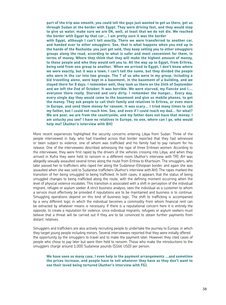**part of the trip was smooth, you could tell the guys just wanted to get us there, get us through Sudan at the border with Egypt. They were driving fast, and they would stop to give us water, make sure we are OK, well, at least that we do not die. We reached the border with Egypt by that car… I am pretty sure it was the border**

**with Egypt, although I can't tell exactly. There we were transferred to another car, and handed over to other smugglers. See, that is what happens when you end up in the hands of the Rashaida: you just get sold, they keep selling you to other smugglers groups along the road, according to what is safer and most convenient for them, in terms of money. Where they think that they will make the highest amount of money, to those people and who they would sell you to. All the way up to Egypt, from Eritrea, being sold from one group to another. When we arrived to Egypt, I don't know where we were exactly, but it was a town. I can't tell the name, but they divided the people who were in the car into two groups. The 7 of us who were in my group, including a kid travelling alone, were kept in a basement, in the basement of a building, and we stayed there for 8 days. I remember well, they took us there on the 24th of September and we left the 2nd of October. It was horrible. We were starved, my fiancée and I…. everyone there really. Starved and very dirty. I remember the hunger... Every day, every single day they would come to the basement and give us mobile phones, to get the money. They ask people to call their family and relatives in Eritrea, or even more in Europe, and send them money for ransom. It was scary… I tried many times to call my father, but I could not reach him. See, and even if I could reach my dad… for what? We are poor, we are from the countryside, and my father does not have that money. I am unlucky you see? I have no relatives in Europe, no one, where can I go, who would help me? (Author's interview with BH)**

More recent experiences highlighted the security concerns entering Libya from Sudan. Three of the people interviewed in Italy, who had travelled across that border reported that they had witnessed or been subject to violence, one of whom was trafficked and his family had to pay ransom for his release. One of the interviewees described witnessing the rape of three Eritrean women. According to the interviewee, they were first raped by the drivers of the vehicles crossing into Libya, and when they arrived in Kufra they were held to ransom in a different room (Author's interview with TR). AH was allegedly sexually assaulted several times along the route from Eritrea to Khartoum. The smugglers, who later passed her to traffickers who raped her along the Sudanese-Ethiopian border, and again she was assaulted when she was sold to Sudanese traffickers (Author's interview with AH). The rapes marked the transition of her being smuggled to being trafficked. In both cases, it appears that the status of being smuggled changes to being trafficked along the route, with the defining moment occurring when the level of physical violence escalates. This transition is associated with a shift in perception of the individual migrant, refugee or asylum seeker. A strict business analysis, sees the individual as a customer to whom a service must effectively be provided if reputations are to be maintained and business is to continue. Smuggling operations depend on this kind of business logic. The shift to trafficking is accompanied by a very different logic in which the individual becomes a commodity from whom financial rent can be extracted by whatever means is necessary. If there is a reputational concern here it is entirely the opposite, to create a reputation for violence, since individual migrants, refugees or asylum seekers must believe that a threat will be carried out if they are to be convinced to obtain further payments from distant relatives.

Smugglers and traffickers are also actively recruiting people to undertake the journey to Europe, in which they target young people including minors. Several interviewees reported that they were initially offered the opportunity by the smugglers to travel and to make the payment later. However, they cited cases of people who chose to pay later but were then held to ransom. Those who make the introductions to the smugglers charge around 1,000 Sudanese pounds (\$166 USD) per person.

**We have seen so many case, I even help in the payment arrangements …and sometime the prices increase, and people have to sell whatever they have as they don't want to see their loved being tortured (Author's interview with FG).**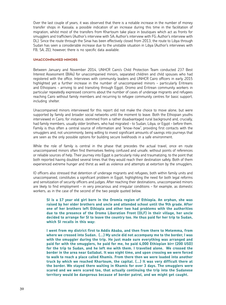Over the last couple of years, it was observed that there is a notable increase in the number of money transfer shops in Kassala; a possible indication of an increase during this time in the facilitation of migration, whilst most of the transfers from Khartoum take place in boutiques which act as fronts for smugglers and traffickers (Author's interview with SA; Author's interview with FG; Author's interview with DL). Since the route through the Sinai has been effectively closed from 2013, the route to Libya through Sudan has seen a considerable increase due to the unstable situation in Libya (Author's interviews with FB, SA, ZE), however, there is no specific data available.

#### Unaccompanied minors

Between January and November 2014, UNHCR Cairo's Child Protection Team conducted 237 Best Interest Assessment (BIAs) for unaccompanied minors, separated children and child spouses who had registered with the office. Interviews with community leaders and UNHCR Cairo officers in early 2015 highlighted yet a further increase in the number of unaccompanied minors – particularly Eritreans and Ethiopians – arriving to and transiting through Egypt. Oromo and Eritrean community workers in particular repeatedly expressed concerns about the number of cases of underage migrants and refugees reaching Cairo without family members and recurring to refugee community centres for basic support, including shelter.

Unaccompanied minors interviewed for this report did not make the choice to move alone, but were supported by family and broader social networks until the moment to leave. Both the Ethiopian youths interviewed in Cairo, for instance, stemmed from a rather disadvantaged rural background and, crucially, had family members, usually older brothers, who had migrated – to Sudan, Libya, or Egypt – before them. Family is thus often a central source of information and "know-how", providing first contacts with the smugglers and, not uncommonly, being willing to invest significant amounts of savings into journeys that are seen as the only possible options for building secure livelihoods in a safe environment.

While the role of family is central in the phase that precedes the actual travel, once en route unaccompanied minors often find themselves feeling confused and unsafe, without points of references or reliable sources of help. Their journey into Egypt is particularly risky and traumatizing, to the point that both reported having doubted several times that they would reach their destination safely. Both of them experienced extreme hunger and thirst as well as violence and attempts at extortion by the smugglers.

IO officers also stressed that detention of underage migrants and refugees, both within family units and unaccompanied, constitutes a significant problem in Egypt, highlighting the need for both legal reforms and sensitization of security officers and judges. After reaching their destinations, unaccompanied minors are likely to find employment – in very precarious and irregular conditions – for example, as domestic workers, as in the case of the second of the two people quoted below.

**SI is a 17 year old girl born in the Oromia region of Ethiopia. An orphan, she was raised by her older brothers and uncle and attended school until the 9th grade. After one of her brothers left Ethiopia and other two had problems with the authorities due to the presence of the Oromo Liberation Front (OLF) in their village, her uncle decided to arrange for SI to leave the country too. He thus paid for her trip to Sudan, which SI recalls in this way:**

**I went from my district first to Addis Ababa, and then from there to Metemma, from where we crossed into Sudan. (…) My uncle did not accompany me to the border, I was with the smuggler during the trip. He just made sure everything was arranged and paid for with the smugglers, he paid for me, he paid 4,000 Ethiopian birr (200 USD) for the trip to Sudan, and he left me with them. I travelled alone. We crossed the border in the area near Gallabat. It was night time, and upon crossing we were forced to walk to reach a place called Khamis. From there then we were loaded into another truck by which we reached Khartoum, the capital. (…) It was very difficult there at the border. We stayed there waiting in Khamis for over 3 days. The smugglers were scared and we were scared too, that actually continuing the trip into the Sudanese territory would be dangerous because of border patrol, and we might get caught.**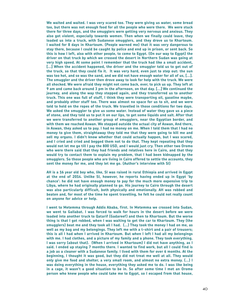**We waited and waited. I was very scared too. They were giving us water, some bread too, but there was not enough food for all the people who were there. We were stuck there for three days, and the smugglers were getting very nervous and anxious. They also got violent, especially towards women. Then when we finally could leave, they loaded us into a truck, with Sudanese smugglers, and they drove us to Khartoum. I waited for 8 days in Khartoum. (People warned me) that it was very dangerous to stay there, because I could be caught by police and end up in prison, or sent back. So this is how I left, also with other people, to come to Egypt. (On our way to Egypt) the driver on that truck by which we crossed the desert in Northern Sudan was going at very high speed. At some point I remember that the truck had like a small accident, […] When the accident happened, the driver and the smuggler told us to get out of the truck, so that they could fix it. It was very hard, even just to step out: the sun was too hot, and so was the sand, and we did not have enough water for all of us, […]. The smuggler and the driver then drove away to look for help with the truck. We were all shocked. We were afraid they might not come back, ever, to pick us up. They left at 9 am and came back around 3 pm in the afternoon, on that day. […] We continued the journey, and along the way they stopped again, and they transferred us to another truck. This one was full of stuff, I think they were transporting oil, gasoline maybe, and probably other stuff too. There was almost no space for us to sit, and we were told to hold on the ropes of the truck. We travelled in those conditions for two days. We asked the smuggler to give us some water. Instead of water they gave us a piece of stone, and they told us to put it on our lips, to get some liquids and salt. After that we were transferred to another group of smugglers, near the Egyptian border, and with them we reached Aswan. We stopped outside the actual city of Aswan, And there, in Aswan, they asked us to pay. I had no money on me. When I told them that I had no money to give them, straightaway they told me that they were going to kill me and sell my organs. I didn't know whether that could actually happen, but I was scared, and I cried and cried and begged them not to do that. They kept repeating that they would not let me go till I pay the 800 USD, and I would just cry. Then other two Oromo who were there said that they had friends and relatives here in Cairo, and that they would try to contact them to explain my problem, that I had been kidnapped by the smugglers. So those people who are living in Cairo offered to settle the accounts, they sent the money for me, and they let me go. (Author's interview with SI)**

**AH is a 16 year old boy who, like, SI was raised in rural Ethiopia and arrived in Egypt at the end of 2014. Unlike SI, however, he reports having ended up in Egypt 'by chance': he did not have enough money to pay for the much more expensive trip to Libya, where he had originally planned to go. His journey to Cairo through the desert was also particularly difficult, both physically and emotionally. AH was robbed and beaten and, for most of the time he spent travelling, he felt he could not really count on anyone for advice or help.** 

**I went to Metemma through Addis Ababa, first. In Metemma we crossed into Sudan, we went to Gallabat. I was forced to walk for hours in the desert before we were loaded into another truck to Qatarif (Gadareef) and then to Khartoum. But the worse thing is that I got robbed, when I was waiting to get the car to Khartoum. They (the smugglers) beat me and they took all I had. (…) They took the money I had on me, as well as my bag and my belongings. They left me with a t-shirt and a pair of trousers; this is all I had when I arrived in Khartoum. But when I left I had all my belongings with me. I had clothes, and a picture of my family and a phone. They took everything. I was sorry (about that). (When I arrived in Khartoum) I did not have anything, as I said. I ended up staying 7 months there. I wanted to find work, but all I could find is a job as a cleaner with a Sudanese family. I lived with them for over 6 months. At the beginning, I thought it was good, but they did not treat me well at all. They would only give me food and shelter, a very small room, and almost no extra money. (…) I was doing everything in the house, everything they asked me to do. I was like being in a cage, it wasn't a good situation to be in. So after some time I met an Oromo person who knew people who could take me to Egypt, so I escaped from that house,**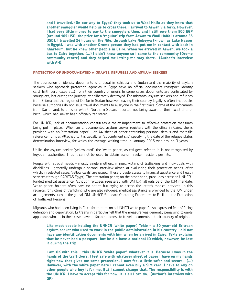**and I travelled. (On our way to Egypt) they took us to Wadi Halfa as they knew that another smuggler would help us to cross there. I arrived to Aswan via ferry. However, I had very little money to pay to the smugglers then, and I still owe them 800 EGP (around 105 USD; the price for a 'regular' trip from Aswan to Wadi Halfa is around 35 USD). I travelled 24 hours on the Nile, through Lake Nubeyya (known as Lake Nasser in Egypt). I was with another Oromo person they had put me in contact with back in Khartoum, but he knew other people in Cairo. When we arrived in Aswan, we took a bus to Cairo together. (…) I didn't know anyone so I came to the community (Oromo community centre) and they helped me letting me stay there. (Author's interview with AH)**

#### Protection of undocumented migrants, refugees and asylum seekers

The possession of identity documents is unusual in Ethiopia and Sudan and the majority of asylum seekers who approach protection agencies in Egypt have no official documents (passport, identity card, birth certificates etc.) from their country of origin. In some cases documents are confiscated by smugglers, lost during the journey, or deliberately destroyed. For migrants, asylum seekers and refugees from Eritrea and the region of Darfur in Sudan however, leaving their country legally is often impossible, because authorities do not issue travel documents to everyone in the first place. Some of the informants from Darfur and, to a lesser extent, Northern Sudan, reported not being aware of their exact date of birth, which had never been officially registered.

For UNHCR, lack of documentation constitutes a major impediment to effective protection measures being put in place. When an undocumented asylum seeker registers with the office in Cairo, she is provided with an 'attestation paper' – an A4 sheet of paper containing personal details and their file reference number. Attached to it is usually an 'appointment slip', specifying the date of the refugee status determination interview, for which the average waiting time in January 2015 was around 3 years.

Unlike the asylum seeker "yellow card", the 'white paper', as refugees refer to it, is not recognised by Egyptian authorities. Thus it cannot be used to obtain asylum seeker resident permits.

People with special needs – mostly single mothers, minors, victims of trafficking and individuals with disabilities – generally undergo a second interview aimed at evaluating their protection needs, after which, in selected cases, 'yellow cards' are issued. These provide access to financial assistance and health services (through CARITAS Egypt). The attestation paper, on the other hand, precludes access to UNHCRfunded medical assistance. Although refugees registered with UNHCR fall outside of the IOM mandate, 'white paper' holders often have no option but trying to access the latter's medical services. In this regards, for victims of trafficking who are also refugees, medical assistance is provided by the IOM under arrangements such as the global IOM-UNHCR Standard Operating Procedures to Facilitate the Protection of Trafficked Persons.

Migrants who had been living in Cairo for months on a 'UNHCR white paper' also expressed fear of facing detention and deportation. Eritreans in particular felt that the measure was generally penalising towards applicants who, as in their case, have de facto no access to travel documents in their country of origins.

**Like most people holding the UNHCR 'white paper', Tekle – a 30 year-old Eritrean asylum seeker who used to work in the public administration in his country – did not have any identification documents with him when he arrived in Cairo. Tekle explains that he never had a passport, but he did have a national ID which, however, he lost it during the trip.** 

**I am OK with this… this UNHCR 'white paper', whatever it is. Because I was in the hands of the traffickers, I feel safe with whatever sheet of paper I have on my hands right now that gives me some protection. I now feel a little safer and secure. (…) However, with the white paper here I cannot even buy a SIM card, I have to rely on other people who buy it for me. But I cannot change that. The responsibility is with the UNHCR. I have to accept this for now. It is all I can do. (Author's interview with QP)**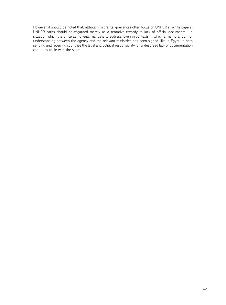However, it should be noted that, although migrants' grievances often focus on UNHCR's 'white papers', UNHCR cards should be regarded merely as a tentative remedy to lack of official documents - a situation which the office as no legal mandate to address. Even in contexts in which a memorandum of understanding between the agency and the relevant ministries has been signed, like in Egypt, in both sending and receiving countries the legal and political responsibility for widespread lack of documentation continues to lie with the state.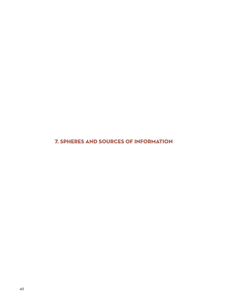7. Spheres and sources of information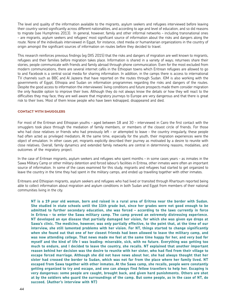The level and quality of the information available to the migrants, asylum seekers and refugees interviewed before leaving their country varied significantly across different nationalities, and according to age and level of education, and so did reasons to migrate (see Humphries 2013). In general, however, family and other informal networks – including transnational ones – are migrants, asylum seekers and refugees' most significant source of information about the risks and dangers along the route. None of the individuals interviewed in Egypt, for instance, cited media or humanitarian organizations in the country of origin amongst the significant sources of information on routes before they decided to travel.

This research reinforces previous findings (eg DIIS 2015) that the risks and dangers of migration are well known to migrants, refugees and their families before migration takes place. Information is shared in a variety of ways; returnees share their stories, people communicate with friends and family abroad through phone communication. Even for the most excluded from modern communications, there are several internet cafés in the Ethiopian towns which Eritrean refugees are allowed to go to and Facebook is a central social media for sharing information. In addition, in the camps there is access to international TV channels such as BBC and Al Jazeera that have reported on the routes through Sudan. IOM is also working with the governments of Egypt, Ethiopia and Sudan on information programmes regarding the risks and dangers of the routes. Despite the good access to information the interviewees' living conditions and future prospects made them consider migration the only feasible option to improve their lives. Although they do not always know the details or how they will react to the difficulties they may face, they are well aware that migratory journeys to Europe are very dangerous and that there is great risk to their lives. Most of them know people who have been kidnapped, disappeared and died.

#### Contact with smugglers

For most of the Eritrean and Ethiopian youths – aged between 18 and 30 – interviewed in Cairo the first contact with the smugglers took place through the mediation of family members, or members of the closest circle of friends. For those who had close relatives or friends who had previously left – or attempted to leave – the country irregularly, these people had often acted as privileged mediators. At the same time, especially for the youth, their migration experiences were the object of emulation. In other cases yet, migrants explicitly described their journey as motivated by a desire to reunite with close relatives. Overall, family dynamics and extended family networks are central in determining reasons, modalities, and outcomes of the migratory project.

In the case of Eritrean migrants, asylum seekers and refugees who spent months – in some cases years – as inmates in the Sawa Military Camp or other military detention and forced labour's facilities in Eritrea, other inmates were often an important source of information. In some of the cases examined for this study, migrants and refugees had started to get organized to leave the country in the time they had spent in the military camps, and ended up travelling together with other inmates.

Eritreans and Ethiopian migrants, asylum seekers and refugees who had lived or transited through Khartoum reported being able to collect information about migration and asylum conditions in both Sudan and Egypt from members of their national communities living in the city.

**NT is a 19 year old woman, born and raised in a rural area of Eritrea near the border with Sudan. She studied in state schools until the 11th grade but, since her grades were not good enough to be admitted to further secondary education, she was forced – according to the laws currently in force in Eritrea – to enter the Sawa military camp. The camp proved an extremely distressing experience. NT developed an eye disease that partially damaged her vision, for which she was given eye drops at Sawa's clinic. The medicine, however, was only partially effective, to the point that, at the time of our interview, she still lamented problems with her vision. For NT, things started to change significantly when she found out that one of her closest friends had been allowed to leave the military camp, and was now attending college. That news made me feel at the same time happy for her, and very bad for myself and the kind of life I was leading: miserable, sick, with no future. Everything was getting too much to endure, and I decided to leave the country, she recalls. NT explained that another important reason behind her decision was the desire to reunite with her sister, who had fled from their village to escape forced marriage. Although she did not have news about her, she had always thought that her sister had crossed the border to Sudan, which was not far from the place where her family lived. NT escaped from Sawa together with other inmates. At the Sawa camp, she recalls, people were constantly getting organized to try and escape, and one can always find fellow travellers to help her. Escaping is very dangerous: some people are caught, brought back, and given hard punishments. Others are shot at by the soldiers who guard the surroundings of the camp. But some people, as in the case of NT, do succeed. (Author's interview with NT)**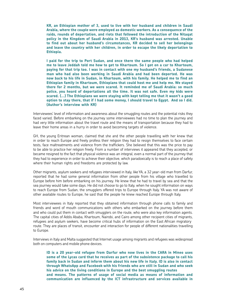**KR, an Ethiopian mother of 3, used to live with her husband and children in Saudi Arabia, where the couple were employed as domestic workers. As a consequence of the raids, rounds of deportation, and riots that followed the introduction of the Nitaqat policy in the Kingdom of Saudi Arabia in 2013, KR's husband was arrested. Unable to find out about her husband's circumstances, KR decided to sell her belongings and leave the country with her children, in order to escape the likely deportation to Ethiopia.** 

**I paid for the trip to Port Sudan, and once there the same people who had helped me to leave Jeddah told me how to get to Khartoum. So I got on a car to Khartoum, paying for that trip too. I was in contact with one my husband's friends, a Sudanese man who had also been working in Saudi Arabia and had been deported. He was now back to his life in Sudan, in Khartoum, with his family. He helped me to find an Ethiopian family in Khartoum, Ethiopians that could host me and help me. We stayed there for 2 months, but we were scared. It reminded me of Saudi Arabia: so much police, you heard of deportations all the time. It was not safe. Even my kids were scared. (…) The Ethiopians we were staying with kept telling me that it wasn't a good option to stay there, that if I had some money, I should travel to Egypt. And so I did. (Author's interview with KR)** 

Interviewees' level of information and awareness about the smuggling routes and the potential risks they faced varied. Before embarking on the journey some interviewees had no time to plan the journey and had very little information about the travel route and the means of transportation because they had to leave their home areas in a hurry in order to avoid becoming targets of violence.

GH, the young Eritrean woman, claimed that she and the other people travelling with her knew that in order to reach Europe and freely profess their religion they had to resign themselves to face certain tests, face maltreatments and violence from the traffickers. She believed that this was the price to pay to be able to practice her religion freely. From a number of interviews it appeared that they accepted, or became resigned to the fact that physical violence was an integral, even a normal part of the journey that they had to experience in order to achieve their objective, which paradoxically is to reach a place of safety where their human rights and freedoms are protected by law.

Other migrants, asylum seekers and refugees interviewed in Italy, like YA, a 32 year-old man from Darfur, reported that he had some general information from other people from his village who travelled to Europe before him before embarking on his journey. He knew that he had to travel by sea and that the sea journey would take some days. He did not choose to go to Italy, when he sought information on ways to reach Europe from Sudan, the smugglers offered trips to Europe through Italy. YA was not aware of other available routes to Europe, he said that the people he knew reached Europe through Italy.

Most interviewees in Italy reported that they obtained information through phone calls to family and friends and word of mouth communications with others who embarked on the journey before them and who could put them in contact with smugglers on the route, who were also key information agents. The capital cities of Addis Ababa, Khartoum, Nairobi, and Cairo among other recipient cities of migrants, refugees and asylum seekers, have become critical hubs of information on the East African migratory route. They are places of transit, encounter and interaction for people of different nationalities travelling to Europe.

Interviews in Italy and Malta suggested that Internet usage among migrants and refugees was widespread both on computers and mobile phone devices.

**ID is a 20 year-old refugee from Darfur who now lives in the CARA in Mineo uses some of the Lycas card that he receives as part of the subsistence package to call his family back in Sudan and inform them about his new life in Italy. ID is also in contact through WhatsApp and Facebook with his friends who are still in Sudan and who seek his advice on the living conditions in Europe and the best smuggling routes and means. The patterns of usage of social media as means of information and communication are influenced by the ICT infrastructure and services available in**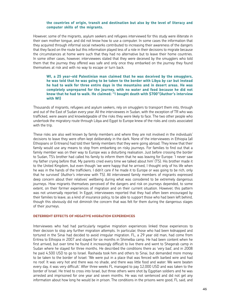#### **the countries of origin, transit and destination but also by the level of literacy and computer skills of the migrants.**

However, some of the migrants, asylum seekers and refugees interviewed for this study were illiterate in their own mother tongue, and did not know how to use a computer. In some cases the information that they acquired through informal social networks contributed to increasing their awareness of the dangers that they faced on the route but this information played less of a role in their decisions to migrate because the circumstances at home were such that they had no alternative but to leave their home countries. In some other cases, however, interviewees stated that they were deceived by the smugglers who told them that the journey they offered was safe and only once they embarked on the journey they found themselves at risk and with no way to escape or turn back.

# **WI, a 25 year-old Palestinian man claimed that he was deceived by the smugglers, he was told that he was going to be taken to the border with Libya by car but instead he had to walk for three entire days in the mountains and in desert areas. He was completely unprepared for the journey, with no water and food because he did not know that he had to walk. He claimed: "I bought death with \$700"(Author's interview with WI)**

Thousands of migrants, refugees and asylum seekers, rely on smugglers to transport them into, through and out of the East of Sudan every year. All the interviewees in Sudan, with the exception of TR who was trafficked, were aware and knowledgeable of the risks they were likely to face. The two other people who undertook the migratory route through Libya and Egypt to Europe knew of the risks and costs associated with the trip.

These risks are also well known by family members and where they are not involved in the individuals' decisions to leave they were often kept deliberately in the dark. None of the interviewees in Ethiopia (all Ethiopians or Eritreans) had told their family members that they were going abroad. They knew that their family would use any means to stop from embarking on risky journeys. For families to find out that a family member was on their way to Europe was a disturbing realisation. Just before crossing the border to Sudan, TS's brother had called his family to inform them that he was leaving for Europe: 'I never saw my father crying before that. My parents cried every time we talked about him' (TS). His brother made it to the United Kingdom, but even though 'we were happy that he arrived, I thought only of his life when he was in the hands of the traffickers. I didn't care if he made it to Europe or was going to be rich, only that he survived' (Author's interview with TS). All interviewed family members of migrants expressed deep concern about their relatives' wellbeing during what was considered to be extremely dangerous journeys. How migrants themselves perceived of the dangers and risk on journeys depended, to some extent, on their former experiences of migration and on their current situation. However, this pattern was not universally reported. In Egypt, interviewees reported that they had often been encouraged by their families to leave, as a kind of insurance policy, to be able to support those who had been left behind, though this obviously did not diminish the concern that was felt for them during the dangerous stages of their journeys.

#### Deterrent effects of negative migration experiences

Interviewees who had had particularly negative migration experiences linked those experiences to their decision to stop any further migration attempts. In particular, those who had been kidnapped and tortured in the Sinai had decided to avoid irregular migration. FL, a 29 year old man, had come from Eritrea to Ethiopia in 2007 and stayed for six months in Shimelba camp. He had been content when he first arrived, but over time he found it increasingly difficult to live there and went to Shegerab camp in Sudan where he stayed for three months. He described the conditions there as 'very bad', and in 2008 he paid 4,500 USD to go to Israel. Rashaida took him and others to Sinai, but demanded more money to be taken to the border of Israel: 'We were put in a place that was fenced with barbed wire and had no roof. It was very hot and there was no shade, and there was little food and water. We were beaten every day, it was very difficult.' After three weeks FL managed to pay 12,000 USD and was taken to the border of Israel. He tried to cross into Israel, but three others were shot by Egyptian soldiers and he was arrested and imprisoned for one year and seven months. He was not sentenced and did not get any information about how long he would be in prison. The conditions in the prisons were good, FL said, and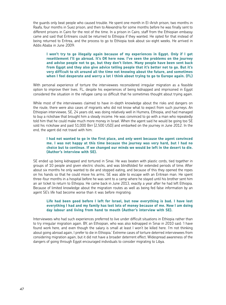the guards only beat people who caused trouble. He spent one month in El-Arish prison, two months in Raafa, four months in Suez prison, and then to Alexandria for some months before he was finally sent to different prisons in Cairo for the rest of the time. In a prison in Cairo, staff from the Ethiopian embassy came and said that Eritreans could be returned to Ethiopia if they wanted. He opted for that instead of being returned to Eritrea, and the process to go to Ethiopia took about six-eight weeks. He arrived in Addis Ababa in June 2009:

**I won't try to go illegally again because of my experiences in Egypt. Only if I get resettlement I'll go abroad. It's OK here now. I've seen the problems on the journey and advise people not to go, but they don't listen. Many people have been sent back from Egypt and they also give advice telling people that it's better not to go. But it's very difficult to sit around all the time not knowing about the future, and sometimes when I feel desperate and worry a lot I think about trying to go to Europe again. (FL)**

With personal experience of torture the interviewees reconsidered irregular migration as a feasible option to improve their lives. FL, despite his experiences of being kidnapped and imprisoned in Egypt considered the situation in the refugee camp so difficult that he sometimes thought about trying again.

While most of the interviewees claimed to have in-depth knowledge about the risks and dangers on the route, there were also cases of migrants who did not know what to expect from such journeys. An Ethiopian interviewee, SE, 24 years old, was doing relatively well in Humera, Ethiopia, and had managed to buy a rickshaw that brought him a steady income. He was convinced to go with a man who repeatedly told him that he could make much more money in Israel. When the agent said he would be going too SE sold his rickshaw and paid 51,000 Birr [2,500 USD] and embarked on the journey in June 2012. In the end, the agent did not travel with him:

# **I had not wanted to go in the first place, and only went because the agent convinced me. I was not happy at this time because the journey was very hard, but I had no choice but to continue. If we changed our minds we would be left in the desert to die. (Author's interview with SE).**

SE ended up being kidnapped and tortured in Sinai. He was beaten with plastic cords, tied together in groups of 10 people and given electric shocks, and was blindfolded for extended periods of time. After about six months he only wanted to die and stopped eating, and because of this they opened the ropes on his hands so that he could move his arms. SE was able to escape with an Eritrean man. He spent three-four months in a hospital before he was sent to a camp where he stayed until his brother sent him an air ticket to return to Ethiopia. He came back in June 2013, exactly a year after he had left Ethiopia. Because of limited knowledge about the migration routes as well as being fed false information by an agent SE's life had become worse than it was before migrating:

# **Life had been good before I left for Israel, but now everything is bad. I have lost everything I had and my family has lost lots of money because of me. Now I am doing day labour and living from hand to mouth (Author's interview with SE).**

Interviewees who had such experiences preferred to live under difficult situations in Ethiopia rather than to try irregular migration again. BY, an Ethiopian, who was also kidnapped in Sinai in 2010 said: 'I have found work here, and even though the salary is small at least I won't be killed here. I'm not thinking about going abroad again, I prefer to die in Ethiopia.' Extreme cases of torture deterred interviewees from considering migration again, but it did not have a broader deterrent effect. Widespread awareness of the dangers of going through Egypt encouraged individuals to consider migrating to Libya.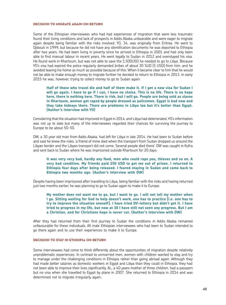#### DECISION TO MIGDATE AGAIN ON DETHIN

Some of the Ethiopian interviewees who had had experiences of migration that were less traumatic found their living conditions and lack of prospects in Addis Ababa unbearable and were eager to migrate again despite being familiar with the risks involved. YO, 34, was originally from Eritrea. He went to Djibouti in 1999, but because he did not have any identification documents he was deported to Ethiopia after two years. He had been living in poverty since he arrived in Ethiopia in 2001 and had only been able to find manual labour in recent years. He went legally to Sudan in 2012 and overstayed his visa. He found work in Khartoum, but was not able to save the 1,500USD he needed to go to Libya. Because YO's visa had expired the police regularly demanded bribes of about 30 SUD [5 USD] from him, and he avoided leaving his home as much as possible because of this. When it became clear to him that he would not be able to make enough money to migrate further he decided to return to Ethiopia in 2013. In early 2015 he was, however, trying to collect money to go to Sudan again:

# **Half of those who travel die and half of them make it. If I get a new visa for Sudan I will go again. I have to go if I can, I have no choice. This is no life. There is no hope here, there is nothing here. There is risk, but I will go. People are being sold as slaves in Khartoum, women get raped by people dressed as policemen. Egypt is bad now and they take kidneys there. There are problems in Libya too but it's better than Egypt. (Author's interview with YO)**

Considering that the situation had improved in Egypt in 2014, and Libya had deteriorated, YO's information was not up to date but many of the interviewees regarded their chances for surviving the journey to Europe to be about 50-50.

DW, a 30 year old man from Addis Ababa, had left for Libya in late 2014. He had been to Sudan before and said he knew the risks: 'a friend of mine died when the transport from Sudan dropped us around the Libyan border and the Libyan transport did not come. Several people died there'. DW was caught in Kufra and sent back to Sudan where he was imprisoned outside Khartoum for 20 days:

# **It was very very bad, hardly any food, men who could rape you, thieves and so on. A very bad condition. My friends paid 250 USD to get me out of prison. I returned to Ethiopia four days after being released. I feared staying in Sudan and came back to Ethiopia two months ago. (Author's interview with DW)**

Despite having been imprisoned after travelling to Libya, being familiar with the risks and having returned just two months earlier, he was planning to go to Sudan again to make it to Europe:

**My mother does not want me to go, but I want to go. I will not tell my mother when I go. Sitting waiting for God to help doesn't work, one has to practice [i.e. one has to try to improve the situation oneself]. I have tried DV-lottery but didn't get it. I have tried to progress in my life, but now at 30 I have still not seen any progress. But I am a Christian, and for Christians hope is never cut. (Author's interview with DW)**

After they had returned from their first journey to Sudan the conditions in Addis Ababa remained unfavourable for these individuals. All male Ethiopian interviewees who had been to Sudan intended to go there again and to use their experiences to make it to Europe.

#### Decision to stay in Ethiopia on return

Some interviewees had come to think differently about the opportunities of migration despite relatively unproblematic experiences. In contrast to unmarried men, women with children wanted to stay and try to manage under the challenging conditions in Ethiopia rather than going abroad again. Although they had made better salaries as domestic workers in Egypt and Libya than they could in Ethiopia, they had not been able to improve their lives significantly. AL, a 40 years mother of three children, had a passport but no visa when she travelled to Egypt by plane in 2007. She returned to Ethiopia in 2014 and was determined not to migrate irregularly again: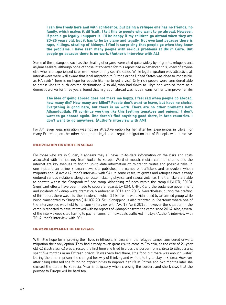**I can live freely here and with confidence, but being a refugee one has no friends, no family, which makes it difficult. I tell this to people who want to go abroad. However, if people go legally I support it. I'll be happy if my children go abroad when they are 20-25 years old, but it has to be by plane and legally. Not overland because there is rape, killings, stealing of kidneys. I find it surprising that people go when they know the problems. I have seen many people with serious problems at UN in Cairo. But people go because there is no work. (Author's interview with AL)**

Some of these dangers, such as the stealing of organs, were cited quite widely by migrants, refugees and asylum seekers, although none of those interviewed for this report had experienced this, knew of anyone else who had experienced it, or even knew of any specific cases. While legal migration was attractive, all interviewees were well aware that legal migration to Europe or the United States was close to impossible. as HA said: 'There is no hope for people like me to get a visa'. Only rich people were considered able to obtain visas to such desired destinations. Also AM, who had flown to Libya and worked there as a domestic worker for three years, found that migration abroad was not a means for her to improve her life:

**The idea of going abroad does not make me happy. I feel sad when people go abroad, how many die? How many are killed? People don't want to leave, but have no choice. Everything is good here, but there is no work. There are no other problems here Alhamdulillah. I'll continue working like this [selling tomatoes and onions], I don't want to go abroad again. One doesn't find anything good there, in Arab countries. I don't want to go anywhere. (Author's interview with AM)**

For AM, even legal migration was not an attractive option for her after her experiences in Libya. For many Eritreans, on the other hand, both legal and irregular migration out of Ethiopia was attractive.

#### Information on route in Sudan

For those who are in Sudan, it appears they all have up-to-date information on the risks and costs associated with the journey from Sudan to Europe. Word of mouth, mobile communications and the internet are key avenues to finding up-to-date information on migration routes and possible risks. In one incident, an online Eritrean news site published the names of traffickers and smugglers whom migrants should avoid (Author's interview with SA). In some cases, migrants and refugees have already endured serious violations along the route including physical and sexual violence. The traffickers are able to operate within the Shagarab refugee camp kidnapping refugees within the camp (UNHCR, 2013). Significant efforts have been made to secure Shagarab by IOM, UNHCR and the Sudanese government and incidents of kidnap were dramatically reduced in 2014 and 2015. Nevertheless, during the drafting of this report there was a further incident in which 14 Eritreans were kidnapped by an armed group while being transported to Shagarab (UNHCR 2015c). Kidnapping is also reported in Khartoum where one of the interviewees was held to ransom (Interview with AH, 17 April 2015), however the situation in the camp is reported to have improved with no reports of kidnapping from the camp since 2014. Also, several of the interviewees cited having to pay ransoms for individuals trafficked in Libya (Author's interview with TR; Author's interview with FG).

#### Onward movement of Eritreans

With little hope for improving their lives in Ethiopia, Eritreans in the refugee camps considered onward migration their only option. They had already taken great risk to come to Ethiopia, as the case of 21 year old KD illustrates: KD was arrested the first time she tried to cross the border from Eritrea to Ethiopia and spent five months in an Eritrean prison: 'It was very bad there, little food but there was enough water.' During the time in prison she changed her way of thinking and wanted to try to stay in Eritrea. However, after being released she found no opportunities to improve her life in Eritrea and two months later she crossed the border to Ethiopia. 'Fear is obligatory when crossing the border', and she knows that the journey to Europe will be hard too: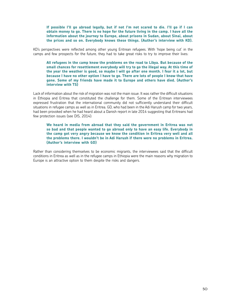**If possible I'll go abroad legally, but if not I'm not scared to die. I'll go if I can obtain money to go. There is no hope for the future living in the camp. I have all the information about the journey to Europe, about prisons in Sudan, about Sinai, about the prices and so on. Everybody knows these things. (Author's interview with KD).**

KD's perspectives were reflected among other young Eritrean refugees. With 'hope being cut' in the camps and few prospects for the future, they had to take great risks to try to improve their lives:

**All refugees in the camp know the problems on the road to Libya. But because of the small chances for resettlement everybody will try to go the illegal way. At this time of the year the weather is good, so maybe I will go after one month. I fear it a lot, but because I have no other option I have to go. There are lots of people I know that have gone. Some of my friends have made it to Europe and others have died. (Author's interview with TS)**

Lack of information about the risk of migration was not the main issue. It was rather the difficult situations in Ethiopia and Eritrea that constituted the challenge for them. Some of the Eritrean interviewees expressed frustration that the international community did not sufficiently understand their difficult situations in refugee camps as well as in Eritrea. GD, who had been in the Adi Harush camp for two years, had been provoked when he had heard about a Danish report in late 2014 suggesting that Eritreans had few protection issues (see DIS, 2014):

**We heard in media from abroad that they said the government in Eritrea was not so bad and that people wanted to go abroad only to have an easy life. Everybody in the camp got very angry because we know the condition in Eritrea very well and all the problems there. I wouldn't be in Adi Harush if there were no problems in Eritrea. (Author's interview with GD)** 

Rather than considering themselves to be economic migrants, the interviewees said that the difficult conditions in Eritrea as well as in the refugee camps in Ethiopia were the main reasons why migration to Europe is an attractive option to them despite the risks and dangers.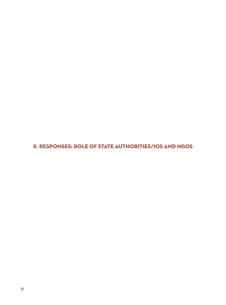8. Responses: role of state authorities/IOs and NGOs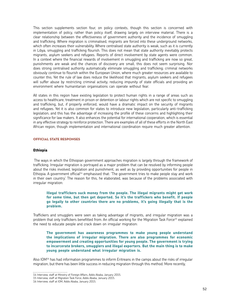This section supplements section four, on policy contexts, though this section is concerned with implementation of policy, rather than policy itself, drawing largely on interview material. There is a clear relationship between the effectiveness of government authority and the incidence of smuggling and trafficking. Where migration is criminalised, migrants are forced into these underground networks, which often increases their vulnerability. Where centralised state authority is weak, such as it is currently in Libya, smuggling and trafficking flourish. This does not mean that state authority inevitably protects migrants, asylum seekers and refugees. Reports of direct involvement by state agents were common. In a context where the financial rewards of involvement in smuggling and trafficking are now so great, punishments are weak and the chances of discovery are small, this does not seem surprising. Nor does strong centralised authority automatically eliminate smuggling and trafficking; criminal networks obviously continue to flourish within the European Union, where much greater resources are available to counter this. Yet the rule of law does reduce the likelihood that migrants, asylum seekers and refugees will suffer abuse by restricting criminal activity, reducing impunity of state officials and providing an environment where humanitarian organisations can operate without fear.

All states in this region have existing legislation to protect human rights in a range of areas such as access to healthcare, treatment in prison or detention or labour rights which are not specific to smuggling and trafficking, but, if properly enforced, would have a dramatic impact on the security of migrants and refugees. Yet it is also common for states to introduce new legislation, particularly anti-trafficking legislation, and this has the advantage of increasing the profile of these concerns and highlighting their significance for law makers. It also enhances the potential for international cooperation, which is essential in any effective strategy to reinforce protection. There are examples of all of these efforts in the North East African region, though implementation and international coordination require much greater attention.

#### Official State Responses

#### **Ethiopia**

 The ways in which the Ethiopian government approaches migration is largely through the framework of trafficking. Irregular migration is portrayed as a major problem that can be resolved by informing people about the risks involved, legislation and punishment, as well as by providing opportunities for people in Ethiopia. A government official<sup>14</sup> emphasised that: 'The government tries to make people stay and work in their own country'. The reason for this, he elaborated, was because of the problems associated with irregular migration:

# **Illegal traffickers suck money from the people. The illegal migrants might get work for some time, but then get deported. So it's the traffickers who benefit. If people go legally to other countries there are no problems, it's going illegally that is the problem.**

Traffickers and smugglers were seen as taking advantage of migrants, and irregular migration was a problem that only traffickers benefitted from. An official working for the Migration Task Force15 explained the need to educate people and crack down on irregular migration:

**The government has awareness programmes to make young people understand the implications of irregular migration. There are also programmes for economic empowerment and creating opportunities for young people. The government is trying to incarcerate brokers, smugglers and illegal exporters. But the main thing is to make young people understand what irregular migration is.**

Also IOM16 has had information programmes to inform Eritreans in the camps about the risks of irregular migration, but there has been little success in reducing migration through this method. More recently,

<sup>14</sup> Interview, staff at Ministry of Foreign Affairs, Addis Ababa, January 2015.

<sup>15</sup> Interview, staff at Migration Task Force, Addis Ababa, January 2015.

<sup>16</sup> Interview, staff at IOM, Addis Ababa, January 2015.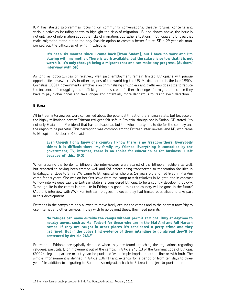IOM has started programmes focusing on community conversations, theatre forums, concerts and various activities including sports to highlight the risks of migration. But as shown above, the issue is not only lack of information about the risks of migration, but rather situations in Ethiopia and Eritrea that make migration stand out as the only feasible option to create a better future. SF, a 29 year old man, pointed out the difficulties of living in Ethiopia:

# **It's been six months since I came back [from Sudan], but I have no work and I'm staying with my mother. There is work available, but the salary is so low that it is not worth it. It's only through being a migrant that one can make any progress. (Authors' interview with SF)**

As long as opportunities of relatively well paid employment remain limited Ethiopians will pursue opportunities elsewhere. As in other regions of the world (eg the US-Mexico border in the late 1990s, Cornelius, 2001) governments' emphasis on criminalising smugglers and traffickers does little to reduce the incidence of smuggling and trafficking but does create further challenges for migrants because they have to pay higher prices and take longer and potentially more dangerous routes to avoid detection.

# **Eritrea**

All Eritrean interviewees were concerned about the potential threat of the Eritrean state, but because of the highly militarised border Eritrean refugees felt safe in Ethiopia, though not in Sudan. GD stated: 'It's not only Esaias [the President] that has to disappear, but the whole party has to die for the country and the region to be peaceful.' This perception was common among Eritrean interviewees, and KD, who came to Ethiopia in October 2014, said:

# **Even though I only know one country I know there is no freedom there. Everybody thinks it is difficult there, my family, my friends. Everything is controlled by the government; TV, internet, there is no choice for education or for business. I left because of this. (KD)**

When crossing the border to Ethiopia the interviewees were scared of the Ethiopian soldiers as well, but reported to having been treated well and fed before being transported to registration facilities in Endabaguna, close to Shire. AW came to Ethiopia when she was 14 years old and had lived in Mai Aini camp for six years. She was on her first leave from the camp to visit relatives in Adigrat, and in contrast to how interviewees saw the Eritrean state she considered Ethiopia to be a country developing quickly: 'Although life in the camps is hard, life in Ethiopia is good. I think the country will be good in the future' (Author's interview with AW). For Eritrean refugees, however, they had limited possibilities to take part in this development.

Eritreans in the camps are only allowed to move freely around the camps and to the nearest town/city to use internet and other services. If they wish to go beyond these, they need permits:

# **No refugee can move outside the camps without permit at night. Only at daytime to nearby towns, such as Mai Tseberi for those who are in the Mai Aini and Adi Harush camps. If they are caught in other places it's considered a petty crime and they get fined. But if the police find evidence of them intending to go abroad they'll be**  sentenced by Article 243.<sup>17</sup>

Eritreans in Ethiopia are typically detained when they are found breaching the regulations regarding refugees, particularly on movement out of the camps. In Article 243 (1) of the Criminal Code of Ethiopia (2004), illegal departure or entry can be punished 'with simple imprisonment or fine or with both. The simple imprisonment is defined in Article 106 (1) and extends 'for a period of from ten days to three years.' In addition to migrating to Sudan, also migration back to Eritrea is subject to punishment:

<sup>17</sup> Interview, former public prosecutor in Inda Aba Guna, Addis Ababa, February 2015.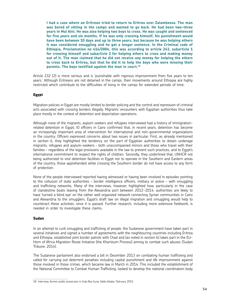**I had a case where an Eritrean tried to return to Eritrea over Zalambessa. The man was bored of sitting in the camps and wanted to go back. He had been two-three years in Mai Aini. He was also helping two boys to cross. He was caught and sentenced for five years and six months. If he was only crossing himself, his punishment would have been between 10 days and up to three years, but because he was helping others it was considered smuggling and he got a longer sentence. In the Criminal code of Ethiopia, Proclamation no 414/2004, this was according to article 243, subarticle 1 for crossing himself and subarticle 2 for helping others to cross and making money out of it. The man claimed that he did not receive any money for helping the others to cross back to Eritrea, but that he did it to help the boys who were missing their**  parents. The boys testified against the man in court.<sup>18</sup>

Article 232 (2) is more serious and is 'punishable with rigorous imprisonment from five years to ten years.' Although Eritreans are not detained in the camps, their movements around Ethiopia are highly restricted which contribute to the difficulties of living in the camps for extended periods of time.

# **Egypt**

Migration policies in Egypt are mostly limited to border policing and the control and repression of criminal acts associated with crossing borders illegally. Migrants' encounters with Egyptian authorities thus take place mostly in the context of detention and deportation operations.

Although none of the migrants, asylum seekers and refugees interviewed had a history of immigrationrelated detention in Egypt, IO officers in Cairo confirmed that, in recent years, detention has become an increasingly important area of intervention for international and non-governmental organizations in the country. Officers expressed concerns about two issues in particular. First, as already mentioned in section 6, they highlighted the tendency on the part of Egyptian authorities to detain underage migrants, refugees and asylum-seekers – both unaccompanied minors and those who travel with their families – regardless of the legal provisions available in the law to prevent such practices, and to Egypt's international commitment to respect the rights of children. Secondly, they underlined that, UNHCR not being authorized to visit detention facilities in Egypt nor to operate in the Southern and Eastern areas of the country, those apprehended while crossing the Southern border do not have access to any form of protection.

None of the people interviewed reported having witnessed or having been involved in episodes pointing to the collusion of state authorities – border intelligence officers, military or police – with smuggling and trafficking networks. Many of the interviews, however, highlighted how, particularly in the case of clandestine boats leaving from the Alexandria port between 2012-2014, authorities are likely to have 'turned a blind eye' on the rather well organized network connecting Syrian communities in Cairo and Alexandria to the smugglers. Egypt's draft law on illegal migration and smuggling would help to counteract these activities, once it is passed. Further research, including more extensive fieldwork, is needed in order to investigate these claims.

#### **Sudan**

In an attempt to curb smuggling and trafficking of people, the Sudanese government have taken part in several initiatives and signed a number of agreements with the neighbouring countries including Eritrea and Ethiopia, established joint border patrols with Chad and (as noted in section 6) takes part in the EU-Horn of Africa Migration Route Initiative (the Khartoum Process) aiming to combat such abuses (Sudan Tribune, 2014).

The Sudanese parliament also endorsed a bill in December 2013 on combating human trafficking and called for carrying out deterrent penalties including capital punishment and life imprisonment against those involved in those crimes, which became law in March in 2014. This included the establishment of the National Committee to Combat Human Trafficking, tasked to develop the national coordination body

18 Interview, former public prosecutor in Inda Aba Guna, Addis Ababa, February 2015.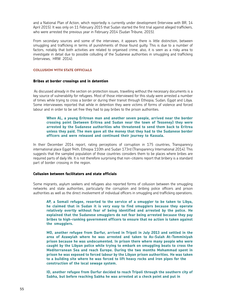and a National Plan of Action, which reportedly is currently under development (Interview with BR, 14 April 2015). It was only on 11 February 2015 that Sudan started the first trial against alleged traffickers, who were arrested the previous year in February 2014 (Sudan Tribune, 2015).

From secondary sources and some of the interviews, it appears there is little distinction, between smuggling and trafficking in terms of punishments of those found guilty. This is due to a number of factors, notably that both activities are related to organised crime, also, it is seen as a risky area to investigate in detail due to possible colluding of the Sudanese authorities in smuggling and trafficking (interviews, HRW 2014).

# Collusion with state officials

#### **Bribes at border crossings and in detention**

 As discussed already in the section on protection issues, travelling without the necessary documents is a key source of vulnerability for refugees. Most of those interviewed for this study were arrested a number of times while trying to cross a border or during their transit through Ethiopia, Sudan, Egypt and Libya. Some interviewees reported that while in detention they were victims of forms of violence and forced labour and in order to be set free they had to pay bribes to the prison authorities.

# **When AL, a young Eritrean man and another seven people, arrived near the border crossing point (between Eritrea and Sudan near the town of Tesseney) they were arrested by the Sudanese authorities who threatened to send them back to Eritrea unless they paid. The men gave all the money that they had to the Sudanese border officers and were released and continued their journey to Kassala.**

In their December 2014 report, rating perceptions of corruption in 175 countries, Transparency international place Egypt 94th, Ethiopia 110th and Sudan 173rd (Transparency International 2014). This suggests that the sampled population of those countries considers them to be places where bribes are required parts of daily life. It is not therefore surprising that non-citizens report that bribery is a standard part of border crossing in the region.

#### **Collusion between facilitators and state officials**

Some migrants, asylum seekers and refugees also reported forms of collusion between the smuggling networks and state authorities, particularly the corruption and bribing police officers and prison authorities as well as the direct involvement of individual officers in smuggling and trafficking operations.

**AP, a Somali refugee, resorted to the service of a smuggler to be taken to Libya, he claimed that in Sudan it is very easy to find smugglers because they operate relatively overtly without fear of being identified and arrested by the police. He explained that the Sudanese smugglers do not fear being arrested because they pay bribes to high-ranking government officers to ensure that no action is taken against the smugglers.** 

**MO, another refugee from Darfur, arrived in Tripoli in July 2013 and settled in the area of Azawyiah where he was arrested and taken to As-Sulah At-Tomminiyah prison because he was undocumented. In prison there where many people who were caught by the Libyan police while trying to embark on smuggling boats to cross the Mediterranean Sea and reach Europe. During the two months Mohammad spent in prison he was exposed to forced labour by the Libyan prison authorities. He was taken to a building site where he was forced to lift heavy rocks and iron pipes for the construction of the local sewage system.**

**ID, another refugee from Darfur decided to reach Tripoli through the southern city of Sabha, but before reaching Sabha he was arrested at a check point and put in**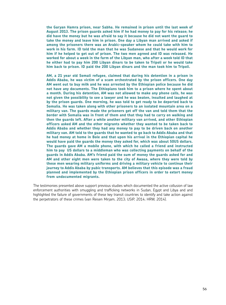**the Garyan Hamra prison, near Sabha. He remained in prison until the last week of August 2013. The prison guards asked him if he had money to pay for his release; he did have the money but he was afraid to say it because he did not want the guard to take the money and leave him in prison. One day a Libyan man arrived and asked if among the prisoners there was an Arabic-speaker whom he could take with him to work in his farm. ID told the man that he was Sudanese and that he would work for him if he helped to get out of prison. The two men agreed and ID was released. He worked for about a week in the farm of the Libyan man, who after a week told ID that he either had to pay him 200 Libyan dinars to be taken to Tripoli or he would take him back to prison. ID paid the 200 Libyan dinars and the man took him to Tripoli.** 

**AM, a 21 year old Somali refugee, claimed that during his detention in a prison in Addis Ababa, he was victim of a scam orchestrated by the prison officers. One day AM went out to buy milk and he was arrested by the Ethiopian police because he did not have any documents. The Ethiopians took him to a prison where he spent about a month. During his detention, AM was not allowed to make any phone calls, he was not given the possibility to see a lawyer and he was beaten, insulted and laughed at by the prison guards. One morning, he was told to get ready to be deported back to Somalia. He was taken along with other prisoners to an isolated mountain area on a military van. The guards made the prisoners get off the van and told them that the border with Somalia was in front of them and that they had to carry on walking and then the guards left. After a while another military van arrived, and other Ethiopian officers asked AM and the other migrants whether they wanted to be taken back to Addis Ababa and whether they had any money to pay to be driven back on another military van. AM told to the guards that he wanted to go back to Addis Ababa and that he had money at home in Bole and that upon his arrival in the Ethiopian capital he would have paid the guards the money they asked for, which was about 50US dollars. The guards gave AM a mobile phone, with which he called a friend and instructed him to pay US dollars to a middleman who was collecting payments on behalf of the guards in Addis Ababa. AM's friend paid the sum of money the guards asked for and AM and other eight men were taken to the city of Awasa, where they were told by these men wearing military uniforms and driving a military vehicle to continue their journey to Addis Ababa by pubic transports. AM believes that this episode was a fraud planned and implemented by the Ethiopian prison officers in order to extort money from undocumented migrants.** 

The testimonies presented above support previous studies which documented the active collusion of law enforcement authorities with smuggling and trafficking networks in Sudan, Egypt and Libya and and highlighted the failure of governments of these key transit countries to identify and take action against the perpetrators of these crimes (van Reisen Mirjam, 2013; USIP, 2014; HRW, 2014).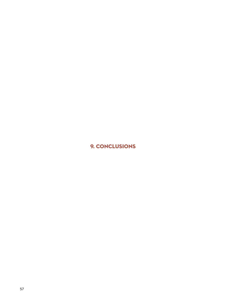9. Conclusions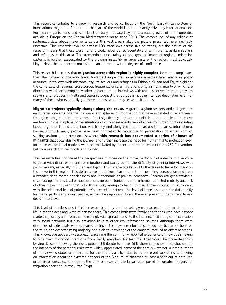This report contributes to a growing research and policy focus on the North East African system of international migration. Attention to this part of the world is predominantly driven by international and European organisations and is at least partially motivated by the dramatic growth of undocumented arrivals in Europe on the Central Mediterranean route since 2013. The chronic lack of any reliable or systematic data about movements across this vast area makes the picture presented here inevitably uncertain. This research involved almost 100 interviews across five countries, but the nature of the research means that these were not and could never be representative of all migrants, asylum seekers and refugees in this area. The tremendous uncertainty of any general image of regional migration patterns is further exacerbated by the growing instability in large parts of the region, most obviously Libya. Nevertheless, some conclusions can be made with a degree of confidence.

This research illustrates that **migration across this region is highly complex**, far more complicated than the picture of one-way travel towards Europe that sometimes emerges from media or policy accounts. Interviews with migrants, asylum seekers and refugees in Ethiopia, Sudan and Egypt highlight the complexity of regional, cross border, frequently circular migrations only a small minority of which are directed towards an attempted Mediterranean crossing. Interviews with recently arrived migrants, asylum seekers and refugees in Malta and Sardinia suggest that Europe is not the intended destination even for many of those who eventually get there, at least when they leave their homes.

**Migration projects typically change along the route.** Migrants, asylum seekers and refugees are encouraged onwards by social networks and spheres of information that have expanded in recent years through much greater internet access. Most significantly in the context of this report, people on the move are forced to change plans by the situations of chronic insecurity, lack of access to human rights including labour rights or limited protection, which they find along the route or across the nearest international border. Although many people have been compelled to move due to persecution or armed conflict, seeking asylum and protection elsewhere, **this research has documented a series of abuses of migrants** that occur during the journey and further increase the need for human rights protection even for those whose initial motives were not motivated by persecution in the sense of the 1951 Convention, but by a search for livelihoods and dignity.

This research has prioritised the perspectives of those on the move, partly out of a desire to give voice to those with direct experience of migration and partly due to the difficulty of gaining interviews with policy makers, especially in Sudan and Egypt. This perspective highlights the desire to leave for many on the move in this region. This desire arises both from fear of direct or impending persecution and from a broader, deep rooted hopelessness about economic or political prospects. Eritrean refugees provide a clear example of this level of hopelessness, no opportunities to return home, restricted mobility and lack of other opportunity –and that is for those lucky enough to be in Ethiopia. Those in Sudan must contend with the additional fear of potential refoulement to Eritrea. This level of hopelessness is the daily reality for many, particularly young people, across the region and forms the ever present undercurrent to any decision to leave.

This level of hopelessness is further exacerbated by the increasingly easy access to information about life in other places and ways of getting there. This comes both from family and friends who have already made the journey and from the increasingly widespread access to the Internet, facilitating communication with social networks but also providing links to other key information sources. Although there were examples of individuals who appeared to have little advance information about particular sections on the route, the overwhelming majority had a clear knowledge of the dangers involved at different stages. This knowledge appears widespread, explaining the commonly reported experience of individuals having to hide their migration intentions from family members for fear that they would be prevented from leaving. Despite knowing the risks, people still decide to move. Still, there is also evidence that even if the intensity of the potential risks were widely appreciated, some of the details were not. A large number of interviewees stated a preference for the route via Libya due to its perceived lack of risks, drawing on information about the extreme dangers of the Sinai route that was at least a year out of date. Yet, in terms of direct experiences at the time of research, the Libya route posed far greater dangers for migration than the journey into Egypt.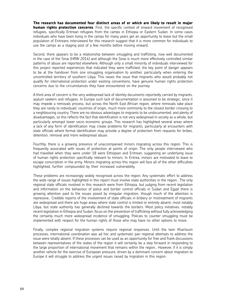**The research has documented four distinct areas of or which are likely to result in major human rights protection concerns.** First, the specific context of onward movement of recognised refugees, specifically Eritrean refugees from the camps in Ethiopia or Eastern Sudan. In some cases individuals who have been living in the camps for many years get an opportunity to leave but the small population of Eritreans interviewed for this research suggest that it is more common for individuals to use the camps as a staging post of a few months before moving onward.

Second, there appears to be a relationship between smuggling and trafficking, now well documented in the case of the Sinai (HRW 2014) and although the Sinai is much more effectively controlled similar patterns of abuse are reported elsewhere. Although only a small minority of individuals interviewed for this project reported experiences that indicated they were trafficked, the key point of danger appears to be at the handover from one smuggling organisation to another, particularly when entering the uncontrolled territory of southern Libya. This raises the issue that migrants who would probably not qualify for international protection under existing conventions, have genuine human rights protection concerns due to the circumstances they have encountered on the journey.

A third area of concern is the very widespread lack of identity documents reportedly carried by migrants, asylum seekers and refugees. In Europe such lack of documentation is assumed to be strategic, since it may impede a removals process, but across the North East African region, where removals take place they are rarely to individuals' countries of origin, much more commonly to the closest border crossing to a neighbouring country. There are no obvious advantages to migrants to be undocumented, and plenty of disadvantages, so this reflects the fact that identification is not very widespread in society as a whole, but particularly amongst lower socio-economic groups. This research has highlighted several areas where a lack of any form of identification may create problems for migrants, particularly at encounters with state officials where formal identification may provide a degree of protection from requests for bribes, detention, removal and more widespread abuse.

Fourthly, there is a growing presence of unaccompanied minors migrating across this region. This is frequently associated with issues of protection at points of origin. The only people interviewed who had travelled when they were under 18 were Ethiopian and Eritrean, suggesting an underlying issue of human rights protection specifically relevant to minors. In Eritrea, minors are motivated to leave to escape conscription in the army. Minors migrating across this region will face all of the other difficulties highlighted, further compounded by their increased vulnerability.

These problems are increasingly widely recognised across the region. Any systematic effort to address the wide range of issues highlighted in this report must involve state authorities in the region.. The only regional state officials involved in this research were from Ethiopia, but judging from recent legislation and information on the behaviour of police and border control officials in Sudan and Egypt there is growing attention paid to the issues posed by irregular migration, though much of the attention is repressive.. Credible reports of the involvement of state officials in bribery or mistreatment of migrants are widespread and there are huge areas where state control is limited or entirely absent, most notably Libya, but state authority has generally declined towards the borders. Most policy initiatives, notably recent legislation in Ethiopia and Sudan, focus on the prevention of trafficking without fully acknowledging the certainly much more widespread incidence of smuggling. Policies to counter smuggling must be implemented with respect for the human rights of those who may have no other options to move.

Finally, complex regional migration systems require regional responses. Until the twin Khartoum processes, international coordination was ad hoc and systematic pan regional attempts to address the issue were totally absent. If these processes can be used as an opportunity for free and frank discussions between representatives of the states of the region it will certainly be a step forward in responding to the large proportion of international movement that remains within the region.. However, if it is simply another vehicle for the exercise of European pressure, driven by a dominant concern about migration to Europe it will struggle to address the urgent issues raised by migration in this region.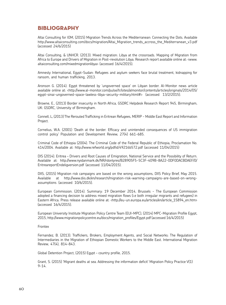# **BIBLIOGRAPHY**

Altai Consulting for IOM, (2015) Migration Trends Across the Mediterranean: Connecting the Dots. Available http://www.altaiconsulting.com/docs/migration/Altai\_Migration\_trends\_accross\_the\_Mediterranean\_v3.pdf (accessed 24/6/2015)

Altai Consulting, & UNHCR. (2013). Mixed migration: Libya at the crossroads. Mapping of Migration from Africa to Europe and Drivers of Migration in Post-revolution Libya. Research report available online at: <www. altaiconsulting.com/mixedmigrationlibya> (accessed 16/4/2015).

Amnesty International, Egypt-Sudan: Refugees and asylum seekers face brutal treatment, kidnapping for ransom, and human trafficking, 2013.

Aronson G. (2014). Egypt threatened by 'ungoverned space' on Libyan border. Al-Monitor news article available online at: <http://www.al-monitor.com/pulse/tr/sites/almonitor/contents/articles/originals/2014/05/ egypt-sinai-ungoverned-space-lawless-libya-security-military.html#> (accessed 13/2/2015).

Browne, E., (2013) Border insecurity in North Africa, GSDRC Helpdesk Research Report 945, Birmingham, UK: GSDRC, University of Birmingham.

Connell, L, (2013) The Rerouted Trafficking in Eritrean Refugees, MERIP - Middle East Report and Information Project.

Cornelius, W.A. (2001) 'Death at the border. Efficacy and unintended consequences of US immigration control policy' Population and Development Review, 27(4) 661-685.

Criminal Code of Ethiopia (2004). The Criminal Code of the Federal Republic of Ethiopia, Proclamation No. 414/2004. Available at: http://www.refworld.org/pdfid/49216b572.pdf (accessed 11/04/2015)

DIS (2014). Eritrea – Drivers and Root Causes of Emigration, National Service and the Possibility of Return. Available at: http://www.nyidanmark.dk/NR/rdonlyres/B28905F5-5C3F-409B-8A22-0DF0DACBDAEF/0/ EritreareportEndeligversion.pdf (accessed 11/04/2015).

DIIS, (2015) Migration risk campaigns are based on the wrong assumptions, DIIS Policy Brief, May 2015. Available at http://www.diis.dk/en/research/migration-risk-warning-campaigns-are-based-on-wrongassumptions (accessed 10/6/2015).

European Commission. (2014). Summary: 19 December 2014, Brussels - The European Commission adopted a financing decision to address mixed migration flows (i.e both irregular migrants and refugees) in Eastern Africa. Press release available online at: <http://eu-un.europa.eu/articles/en/article\_15894\_en.htm> (accessed 16/4/2015).

European University Institute Migration Policy Centre Team (EUI-MPC), (2014) MPC-Migration Profile Egypt, 2015, http://www.migrationpolicycentre.eu/docs/migration\_profiles/Egypt.pdf (accessed 16/4/2015)

#### Frontex

Fernandez, B. (2013). Traffickers, Brokers, Employment Agents, and Social Networks: The Regulation of Intermediaries in the Migration of Ethiopian Domestic Workers to the Middle East. International Migration Review, 47(4), 814-843.

Global Detention Project, (2015) Egypt – country profile, 2015.

Grant, S. (2015) 'Migrant deaths at sea. Addressing the information deficit' Migration Policy Practice V(1) 9-14.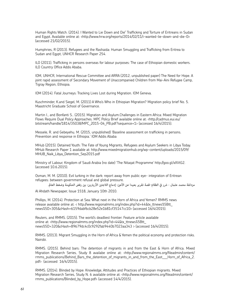Human Rights Watch. (2014). I Wanted to Lie Down and Die" Trafficking and Torture of Eritreans in Sudan and Egypt. Available online at: <http://www.hrw.org/reports/2014/02/11/i-wanted-lie-down-and-die-0> (accessed 21/02/2015).

Humphries, R (2013). Refugees and the Rashaida: Human Smuggling and Trafficking from Eritrea to Sudan and Egypt, UNHCR Research Paper 254.

ILO (2011). Trafficking in persons overseas for labour purposes: The case of Ethiopian domestic workers. ILO Country Office Addis Ababa.

IOM, UNHCR, International Rescue Committee and ARRA (2012, unpublished paper) The Need for Hope. A joint rapid assessment of Secondary Movement of Unaccompanied Children from Mai-Aini Refugee Camp, Tigray Region, Ethiopia.

IOM (2014). Fatal Journeys: Tracking Lives Lost during Migration. IOM Geneva.

Kuschminder, K.and Siegel, M. (2011) A Who's Who in Ethiopian Migration? Migration policy brief No. 5. Maastricht Graduate School of Governance.

Martin I., and Bonfanti S.. (2015). Migration and Asylum.Challenges in Eastern Africa: Mixed Migration Flows Require Dual Policy Approaches. MPC Policy Brief available online at: <http://cadmus.eui.eu/ bitstream/handle/1814/35038/MPC\_2015-04\_PB.pdf?sequence=1> (accessed 16/4/2015).

Messele, R. and Gebeyehu. M. (2015, unpublished) 'Baseline assessment on trafficking in persons. Prevention and response in Ethiopia.' IOM Addis Ababa

MHub (2015). Detained Youth: The Fate of Young Migrants, Refugees and Asylum Seekers in Libya Today. MHub Research Paper 1 available at: http://www.mixedmigrationhub.org/wp-content/uploads/2015/09/ MHUB\_Naik\_Libya\_Detention\_Sep2015.pdf

Ministry of Labour, Kingdom of Saudi Arabia (no date) 'The Nitaqat Programme' http://goo.gl/xXVtG2. (accessed 10.6.2015).

Osman, M. M. (2010). Evil lurking in the dark: report away from public eye- integration of Eritrean refugees: between government refusal and global pressure.

مزدلفة محمد عثمان - شرر في الظلام؛ قصة تقرير بعيدا عن الأعين: إدماج اللاجئين الأريترين: بين رفض الحكومة وضغط العالم.

Al Ahdath Newspaper, Issue 1518, January 10th 2010.

Phillips, M. (2014). Protection at Sea: What next in the Horn of Africa and Yemen? RMMS news release available online at: < http://www.regionalmms.org/index.php?id=44&tx\_ttnews%5Btt\_ news%5D=305&cHash=6159dabf6cb28e52e1b81cf35147cc10> (accessed 16/4/2015).

Reuters, and RMMS. (2015). The world's deadliest frontier. Feature article available online at: <http://www.regionalmms.org/index.php?id=44&tx\_ttnews%5Btt\_ news%5D=320&cHash=89679dc4c0c9292fab9440b7023aa343 > (accessed 16/4/2015).

RMMS. (2013). Migrant Smuggling in the Horn of Africa & Yemen the political economy and protection risks. Nairobi.

RMMS. (2015). Behind bars: The detention of migrants in and from the East & Horn of Africa. Mixed Migration Research Series, Study 8 availabe online at: <http://www.regionalmms.org/fileadmin/content/ rmms\_publications/Behind\_Bars\_the\_detention\_of\_migrants\_in\_and\_from\_the\_East\_\_Horn\_of\_Africa\_2. pdf> (accessed 16/4/2015).

RMMS. (2014). Blinded by Hope: Knowledge, Attitudes and Practices of Ethiopian migrants. Mixed Migration Research Series, Study N. 6 available online at: <http://www.regionalmms.org/fileadmin/content/ rmms\_publications/Blinded\_by\_Hope.pdf> (accessed 14/4/2015).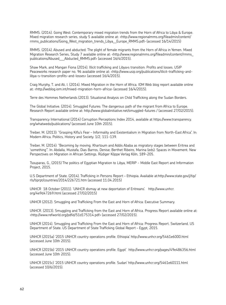RMMS. (2014). Going West: Contemporary mixed migration trends from the Horn of Africa to Libya & Europe. Mixed migration research series, study 5 available online at: <http://www.regionalmms.org/fileadmin/content/ rmms\_publications/Going\_West\_migration\_trends\_Libya\_Europe\_RMMS.pdf> (accessed 16/14/2015)

RMMS. (2014). Abused and abducted: The plight of female migrants from the Horn of Africa in Yemen. Mixed Migration Research Series, Study 7 available online at: <http://www.regionalmms.org/fileadmin/content/rmms\_ publications/Abused\_\_\_Abducted\_RMMS.pdf> (accessed 16/4/2015).

Shaw Mark, and Mangan Fiona (2014). Illicit trafficking and Libya›s transition: Profits and losses. USIP Peaceworks research paper no. 96 available online at: <http://www.usip.org/publications/illicit-trafficking-andlibya-s-transition-profits-and-losses> (accessed 16/4/2015).

Craig Murphy, T. and Ali, I. (2014). Mixed Migration in the Horn of Africa. IOM Web blog report available online at: <http://weblog.iom.int/mixed-migration-horn-africa> (accessed 16/4/2015).

Terre des Hommes Netherlands (2013). Situational Analysis on Child Trafficking along the Sudan Borders.

The Global Initiative. (2014). Smuggled Futures: The dangerous path of the migrant from Africa to Europe. Research Report available online at: http://www.globalinitiative.net/smuggled-futures / (accessed 27/02/2015).

Transparency International (2014) Corruption Perceptions Index 2014, available at https://www.transparency. org/whatwedo/publications/ (accessed June 10th 2015).

Treiber, M. (2013): "Grasping Kiflu's Fear – Informality and Existentialism in Migration from North-East Africa". In: Modern Africa. Politics, History and Society. 1/2, 111-139.

Treiber, M. (2014): "Becoming by moving. Khartoum and Addis Ababa as migratory stages between Eritrea and 'something'". In: Abdalla, Mustafa; Dias Barros, Denise; Berthet Ribeiro, Marina (eds): Spaces in Movement. New Perspectives on Migration in African Settings. Rüdiger Köppe Verlag Köln, 189-205.

Tsouparas, G., (2015) The politics of Egyptian Migration to Libya, MERIP - Middle East Report and Information Project, 2015.

U.S Department of State. (2014). Trafficking in Persons Report – Ethiopia. Available at:http://www.state.gov/j/tip/ rls/tiprpt/countries/2014/226721.htm (accessed 11.04.2015)

UNHCR 18 October (2011). 'UNHCR dismay at new deportation of Eritreans'. http://www.unhcr. org/4e9d47269.html (accessed 27/02/2015)

UNHCR (2012). Smuggling and Trafficking From the East and Horn of Africa: Executive Summary.

UNHCR. (2013). Smuggling and Trafficking from the East and Horn of Africa. Progress Report available online at: <http://www.refworld.org/pdfid/51d175314.pdf> (accessed 27/02/2015).

UNHCR (2014). Smuggling and Trafficking From the East and Horn of Africa: Progress Report. Switzerland. US Department of State. US Department of State Trafficking Global Report – Egypt, 2015.

UNHCR (2015a) '2015 UNHCR country operations profile. Ethiopia' http://www.unhcr.org/5461e6000.html (accessed June 10th 2015).

UNHCR (2015b) '2015 UNHCR country operations profile. Egypt' http://www.unhcr.org/pages/49e486356.html (accessed June 10th 2015).

UNHCR (2015c) '2015 UNHCR country operations profile. Sudan' http://www.unhcr.org/5461e60111.html (accessed 10/6/2015).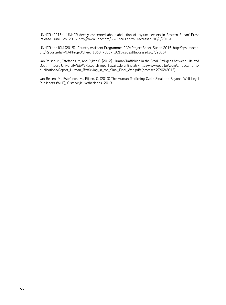UNHCR (2015d) 'UNHCR deeply concerned about abduction of asylum seekers in Eastern Sudan' Press Release June 5th 2015 http://www.unhcr.org/5571bce09.html (accessed 10/6/2015).

UNHCR and IOM (2015). Country Assistant Programme (CAP) Project Sheet, Sudan 2015. http://ops.unocha. org/Reports/daily/CAPProjectSheet\_1068\_75067\_2015426.pdf (accessed 26/4/2015).

van Reisen M., Estefanos, M, and Rijken C. (2012). Human Trafficking in the Sinai: Refugees between Life and Death. Tilburg University/EEPA Research report available online at: <http://www.eepa.be/wcm/dmdocuments/ publications/Report\_Human\_Trafficking\_in\_the\_Sinai\_Final\_Web.pdf> (accessed 27/02/2015).

van Reisen, M., Estefanos, M., Rijken, C. (2013) The Human Trafficking Cycle: Sinai and Beyond, Wolf Legal Publishers (WLP), Oisterwijk, Netherlands, 2013.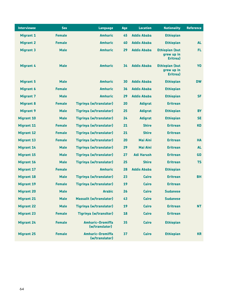| <b>Interviewee</b> | <b>Sex</b>    | <b>Language</b>                           | Age | <b>Location</b>    | <b>Nationality</b>                              | <b>Reference</b> |
|--------------------|---------------|-------------------------------------------|-----|--------------------|-------------------------------------------------|------------------|
| <b>Migrant 1</b>   | <b>Female</b> | <b>Amharic</b>                            | 45  | <b>Addis Ababa</b> | <b>Ethiopian</b>                                |                  |
| <b>Migrant 2</b>   | <b>Female</b> | <b>Amharic</b>                            | 40  | <b>Addis Ababa</b> | <b>Ethiopian</b>                                | <b>AL</b>        |
| <b>Migrant 3</b>   | <b>Male</b>   | <b>Amharic</b>                            | 29  | <b>Addis Ababa</b> | <b>Ethiopian (but</b><br>grew up in<br>Eritrea) | FL.              |
| <b>Migrant 4</b>   | <b>Male</b>   | <b>Amharic</b>                            | 34  | <b>Addis Ababa</b> | <b>Ethiopian (but</b><br>grew up in<br>Eritrea) | Y <sub>0</sub>   |
| <b>Migrant 5</b>   | <b>Male</b>   | <b>Amharic</b>                            | 30  | <b>Addis Ababa</b> | <b>Ethiopian</b>                                | <b>DW</b>        |
| <b>Migrant 6</b>   | <b>Female</b> | <b>Amharic</b>                            | 36  | <b>Addis Ababa</b> | <b>Ethiopian</b>                                |                  |
| <b>Migrant 7</b>   | <b>Male</b>   | <b>Amharic</b>                            | 29  | <b>Addis Ababa</b> | <b>Ethiopian</b>                                | <b>SF</b>        |
| <b>Migrant 8</b>   | <b>Female</b> | <b>Tigrinya (w/translator)</b>            | 20  | <b>Adigrat</b>     | <b>Eritrean</b>                                 |                  |
| <b>Migrant 9</b>   | <b>Male</b>   | <b>Tigrinya (w/translator)</b>            | 25  | <b>Adigrat</b>     | <b>Ethiopian</b>                                | <b>BY</b>        |
| <b>Migrant 10</b>  | <b>Male</b>   | <b>Tigrinya (w/translator)</b>            | 24  | <b>Adigrat</b>     | <b>Ethiopian</b>                                | <b>SE</b>        |
| <b>Migrant 11</b>  | <b>Female</b> | <b>Tigrinya (w/translator)</b>            | 21  | <b>Shire</b>       | <b>Eritrean</b>                                 | <b>KD</b>        |
| <b>Migrant 12</b>  | <b>Female</b> | <b>Tigrinya (w/translator)</b>            | 21  | <b>Shire</b>       | <b>Eritrean</b>                                 |                  |
| <b>Migrant 13</b>  | <b>Female</b> | <b>Tigrinya (w/translator)</b>            | 20  | <b>Mai Aini</b>    | <b>Eritrean</b>                                 | <b>HA</b>        |
| <b>Migrant 14</b>  | <b>Male</b>   | <b>Tigrinya (w/translator)</b>            | 29  | <b>Mai Aini</b>    | <b>Eritrean</b>                                 | <b>AL</b>        |
| <b>Migrant 15</b>  | <b>Male</b>   | <b>Tigrinya (w/translator)</b>            | 27  | <b>Adi Harush</b>  | <b>Eritrean</b>                                 | <b>GD</b>        |
| <b>Migrant 16</b>  | <b>Male</b>   | <b>Tigrinya (w/translator)</b>            | 25  | <b>Shire</b>       | <b>Eritrean</b>                                 | <b>TS</b>        |
| <b>Migrant 17</b>  | <b>Female</b> | <b>Amharic</b>                            | 28  | <b>Addis Ababa</b> | <b>Ethiopian</b>                                |                  |
| <b>Migrant 18</b>  | <b>Male</b>   | <b>Tigrinya (w/translator)</b>            | 23  | Cairo              | <b>Eritrean</b>                                 | <b>BH</b>        |
| <b>Migrant 19</b>  | <b>Female</b> | <b>Tigrinya (w/translator)</b>            | 19  | Cairo              | <b>Eritrean</b>                                 |                  |
| <b>Migrant 20</b>  | <b>Male</b>   | <b>Arabic</b>                             | 26  | Cairo              | <b>Sudanese</b>                                 |                  |
| <b>Migrant 21</b>  | <b>Male</b>   | <b>Massalit (w/translator)</b>            | 43  | Cairo              | <b>Sudanese</b>                                 |                  |
| <b>Migrant 22</b>  | <b>Male</b>   | <b>Tigrinya (w/translator)</b>            | 19  | Cairo              | <b>Eritrean</b>                                 | <b>NT</b>        |
| <b>Migrant 23</b>  | <b>Female</b> | <b>Tigrinya (w/transitor)</b>             | 18  | Cairo              | <b>Eritrean</b>                                 |                  |
| <b>Migrant 24</b>  | <b>Female</b> | <b>Amharic-Oromiffa</b><br>(w/translator) | 35  | Cairo              | <b>Ethiopian</b>                                |                  |
| <b>Migrant 25</b>  | <b>Female</b> | <b>Amharic-Oromiffa</b><br>(w/translator) | 37  | Cairo              | <b>Ethiopian</b>                                | <b>KR</b>        |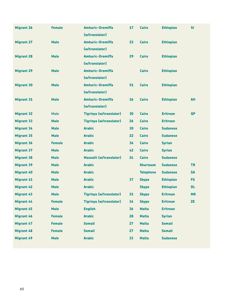| <b>Migrant 26</b> | <b>Female</b> | <b>Amharic-Oromiffa</b>        | 17 | <b>Cairo</b>     | <b>Ethiopian</b> | SI        |
|-------------------|---------------|--------------------------------|----|------------------|------------------|-----------|
|                   |               | (w/translator)                 |    |                  |                  |           |
| <b>Migrant 27</b> | <b>Male</b>   | <b>Amharic-Oromiffa</b>        | 23 | Cairo            | <b>Ethiopian</b> |           |
|                   |               | (w/translator)                 |    |                  |                  |           |
| <b>Migrant 28</b> | <b>Male</b>   | <b>Amharic-Oromiffa</b>        | 29 | Cairo            | <b>Ethiopian</b> |           |
|                   |               | (w/translator)                 |    |                  |                  |           |
| <b>Migrant 29</b> | <b>Male</b>   | <b>Amharic-Oromiffa</b>        |    | <b>Cairo</b>     | <b>Ethiopian</b> |           |
|                   |               | (w/translator)                 |    |                  |                  |           |
| <b>Migrant 30</b> | <b>Male</b>   | <b>Amharic-Oromiffa</b>        | 51 | <b>Cairo</b>     | <b>Ethiopian</b> |           |
|                   |               | (w/translator)                 |    |                  |                  |           |
| <b>Migrant 31</b> | <b>Male</b>   | <b>Amharic-Oromiffa</b>        | 16 | <b>Cairo</b>     | <b>Ethiopian</b> | <b>AH</b> |
|                   |               | (w/translator)                 |    |                  |                  |           |
| <b>Migrant 32</b> | <b>Male</b>   | <b>Tigrinya (w/translator)</b> | 30 | Cairo            | <b>Eritrean</b>  | <b>QP</b> |
| <b>Migrant 33</b> | <b>Male</b>   | <b>Tigrinya (w/translator)</b> | 26 | Cairo            | <b>Eritrean</b>  |           |
| <b>Migrant 34</b> | <b>Male</b>   | <b>Arabic</b>                  | 30 | <b>Cairo</b>     | <b>Sudanese</b>  |           |
| <b>Migrant 35</b> | <b>Male</b>   | <b>Arabic</b>                  | 22 | <b>Cairo</b>     | <b>Sudanese</b>  |           |
| <b>Migrant 36</b> | <b>Female</b> | <b>Arabic</b>                  | 36 | Cairo            | <b>Syrian</b>    |           |
| <b>Migrant 37</b> | <b>Male</b>   | <b>Arabic</b>                  | 42 | Cairo            | <b>Syrian</b>    |           |
| <b>Migrant 38</b> | <b>Male</b>   | <b>Massalit (w/translator)</b> | 24 | <b>Cairo</b>     | <b>Sudanese</b>  |           |
| <b>Migrant 39</b> | <b>Male</b>   | <b>Arabic</b>                  |    | <b>Khartoum</b>  | <b>Sudanese</b>  | <b>TR</b> |
| <b>Migrant 40</b> | <b>Male</b>   | <b>Arabic</b>                  |    | <b>Telephone</b> | <b>Sudanese</b>  | <b>SA</b> |
| <b>Migrant 41</b> | <b>Male</b>   | <b>Arabic</b>                  | 37 | <b>Skype</b>     | <b>Ethiopian</b> | <b>FG</b> |
| <b>Migrant 42</b> | <b>Male</b>   | <b>Arabic</b>                  |    | <b>Skype</b>     | <b>Ethiopian</b> | DL.       |
| <b>Migrant 43</b> | <b>Male</b>   | <b>Tigrinya (w/translator)</b> | 31 | <b>Skype</b>     | <b>Eritrean</b>  | <b>MK</b> |
| <b>Migrant 44</b> | <b>Female</b> | <b>Tigrinya (w/translator)</b> | 34 | <b>Skype</b>     | <b>Eritrean</b>  | ZE        |
| <b>Migrant 45</b> | <b>Male</b>   | <b>English</b>                 | 36 | <b>Malta</b>     | <b>Eritrean</b>  |           |
| <b>Migrant 46</b> | <b>Female</b> | <b>Arabic</b>                  | 28 | <b>Malta</b>     | <b>Syrian</b>    |           |
| <b>Migrant 47</b> | <b>Female</b> | <b>Somali</b>                  | 27 | <b>Malta</b>     | <b>Somali</b>    |           |
| <b>Migrant 48</b> | <b>Female</b> | <b>Somali</b>                  | 27 | <b>Malta</b>     | <b>Somali</b>    |           |
| <b>Migrant 49</b> | <b>Male</b>   | <b>Arabic</b>                  | 33 | <b>Malta</b>     | <b>Sudanese</b>  |           |
|                   |               |                                |    |                  |                  |           |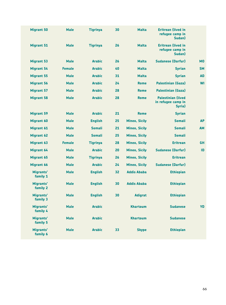| <b>Migrant 50</b>     | <b>Male</b>   | <b>Tigrinya</b> | 30 | <b>Malta</b>         | <b>Eritrean (lived in</b><br>refugee camp in<br>Sudan)     |                |
|-----------------------|---------------|-----------------|----|----------------------|------------------------------------------------------------|----------------|
| <b>Migrant 51</b>     | <b>Male</b>   | <b>Tigrinya</b> | 26 | <b>Malta</b>         | <b>Eritrean (lived in</b><br>refugee camp in<br>Sudan)     |                |
| <b>Migrant 53</b>     | <b>Male</b>   | <b>Arabic</b>   | 26 | <b>Malta</b>         | <b>Sudanese (Darfur)</b>                                   | M <sub>0</sub> |
| <b>Migrant 54</b>     | <b>Female</b> | <b>Arabic</b>   | 40 | <b>Malta</b>         | <b>Syrian</b>                                              | <b>SM</b>      |
| <b>Migrant 55</b>     | <b>Male</b>   | <b>Arabic</b>   | 31 | <b>Malta</b>         | <b>Syrian</b>                                              | <b>AD</b>      |
| <b>Migrant 56</b>     | <b>Male</b>   | <b>Arabic</b>   | 24 | Rome                 | <b>Palestinian (Gaza)</b>                                  | <b>WI</b>      |
| <b>Migrant 57</b>     | <b>Male</b>   | <b>Arabic</b>   | 28 | <b>Rome</b>          | <b>Palestinian (Gaza)</b>                                  |                |
| <b>Migrant 58</b>     | <b>Male</b>   | <b>Arabic</b>   | 28 | <b>Rome</b>          | <b>Palestinian (lived)</b><br>in refugee camp in<br>Syria) |                |
| <b>Migrant 59</b>     | <b>Male</b>   | <b>Arabic</b>   | 21 | <b>Rome</b>          | <b>Syrian</b>                                              |                |
| <b>Migrant 60</b>     | <b>Male</b>   | <b>English</b>  | 25 | <b>Mineo, Sicily</b> | <b>Somali</b>                                              | <b>AP</b>      |
| <b>Migrant 61</b>     | <b>Male</b>   | <b>Somali</b>   | 21 | <b>Mineo, Sicily</b> | <b>Somali</b>                                              | <b>AM</b>      |
| <b>Migrant 62</b>     | <b>Male</b>   | <b>Somali</b>   | 25 | <b>Mineo, Sicily</b> | <b>Somali</b>                                              |                |
| <b>Migrant 63</b>     | <b>Female</b> | <b>Tigrinya</b> | 28 | <b>Mineo, Sicily</b> | <b>Eritrean</b>                                            | <b>GH</b>      |
| <b>Migrant 64</b>     | <b>Male</b>   | <b>Arabic</b>   | 20 | <b>Mineo, Sicily</b> | <b>Sudanese (Darfur)</b>                                   | ID             |
| <b>Migrant 65</b>     | <b>Male</b>   | <b>Tigrinya</b> | 26 | <b>Mineo, Sicily</b> | <b>Eritrean</b>                                            |                |
| <b>Migrant 66</b>     | <b>Male</b>   | <b>Arabic</b>   | 24 | <b>Mineo, Sicily</b> | <b>Sudanese (Darfur)</b>                                   |                |
| Migrants'<br>family 1 | <b>Male</b>   | <b>English</b>  | 32 | <b>Addis Ababa</b>   | <b>Ethiopian</b>                                           |                |
| Migrants'<br>family 2 | <b>Male</b>   | <b>English</b>  | 30 | <b>Addis Ababa</b>   | <b>Ethiopian</b>                                           |                |
| Migrants'<br>family 3 | <b>Male</b>   | <b>English</b>  | 30 | <b>Adigrat</b>       | <b>Ethiopian</b>                                           |                |
| Migrants'<br>family 4 | <b>Male</b>   | <b>Arabic</b>   |    | <b>Khartoum</b>      | <b>Sudanese</b>                                            | <b>YD</b>      |
| Migrants'<br>family 5 | <b>Male</b>   | <b>Arabic</b>   |    | <b>Khartoum</b>      | <b>Sudanese</b>                                            |                |
| Migrants'<br>family 6 | <b>Male</b>   | <b>Arabic</b>   | 33 | <b>Skype</b>         | <b>Ethiopian</b>                                           |                |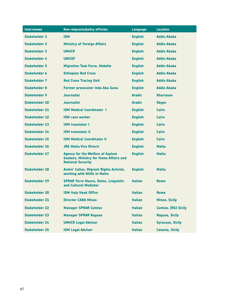| <b>Interviewee</b>    | <b>Non-migrants/policy officials</b>                                                                                 | <b>Language</b> | <b>Location</b>         |
|-----------------------|----------------------------------------------------------------------------------------------------------------------|-----------------|-------------------------|
| <b>Stakeholder 1</b>  | <b>IOM</b>                                                                                                           | <b>English</b>  | <b>Addis Ababa</b>      |
| <b>Stakeholder 2</b>  | <b>Ministry of Foreign Affairs</b>                                                                                   | <b>English</b>  | <b>Addis Ababa</b>      |
| <b>Stakeholder 3</b>  | <b>UNHCR</b>                                                                                                         | <b>English</b>  | <b>Addis Ababa</b>      |
| <b>Stakeholder 4</b>  | <b>UNICEF</b>                                                                                                        | <b>English</b>  | <b>Addis Ababa</b>      |
| <b>Stakeholder 5</b>  | <b>Migration Task Force, Mekelle</b>                                                                                 | <b>English</b>  | <b>Addis Ababa</b>      |
| <b>Stakeholder 6</b>  | <b>Ethiopian Red Cross</b>                                                                                           | <b>English</b>  | <b>Addis Ababa</b>      |
| <b>Stakeholder 7</b>  | <b>Red Cross Tracing Unit</b>                                                                                        | <b>English</b>  | <b>Addis Ababa</b>      |
| <b>Stakeholder 8</b>  | <b>Former prosecutor Inda Aba Guna</b>                                                                               | <b>English</b>  | <b>Addis Ababa</b>      |
| <b>Stakeholder 9</b>  | <b>Journalist</b>                                                                                                    | <b>Arabic</b>   | <b>Khartoum</b>         |
| <b>Stakeholder 10</b> | <b>Journalist</b>                                                                                                    | <b>Arabic</b>   | <b>Skype</b>            |
| <b>Stakeholder 11</b> | <b>IOM Medical Coordinator I</b>                                                                                     | <b>English</b>  | Cairo                   |
| <b>Stakeholder 12</b> | <b>IOM case worker</b>                                                                                               | <b>English</b>  | Cairo                   |
| <b>Stakeholder 13</b> | <b>IOM translator I</b>                                                                                              | <b>English</b>  | Cairo                   |
| <b>Stakeholder 14</b> | <b>IOM translator II</b>                                                                                             | <b>English</b>  | Cairo                   |
| <b>Stakeholder 15</b> | <b>IOM Medical Coordinator II</b>                                                                                    | <b>English</b>  | Cairo                   |
| <b>Stakeholder 16</b> | <b>JRS Malta Vice Directr</b>                                                                                        | <b>English</b>  | <b>Malta</b>            |
| <b>Stakeholder 17</b> | <b>Agency for the Welfare of Asylum</b><br><b>Seekers, Ministry for Home Affairs and</b><br><b>National Security</b> | <b>English</b>  | Malta                   |
| <b>Stakeholder 18</b> | Andre' Callus, Migrant Rights Activist,<br>working with NGOs in Malta                                                | <b>English</b>  | <b>Malta</b>            |
| <b>Stakeholder 19</b> | <b>SPRAR Torre Maura, Rome, Linguistic</b><br>and Cultural Mediator                                                  | <b>Italian</b>  | Rome                    |
| <b>Stakeholder 20</b> | <b>IOM Italy Head Office</b>                                                                                         | <b>Italian</b>  | <b>Rome</b>             |
| <b>Stakeholder 21</b> | <b>Director CARA Mineo</b>                                                                                           | <b>Italian</b>  | <b>Mineo, Sicily</b>    |
| <b>Stakeholder 22</b> | <b>Manager SPRAR Comiso</b>                                                                                          | <b>Italian</b>  | Comiso, (RG) Sicily     |
| <b>Stakeholder 23</b> | <b>Manager SPRAR Ragusa</b>                                                                                          | <b>Italian</b>  | <b>Ragusa, Sicily</b>   |
| <b>Stakeholder 24</b> | <b>UNHCR Legal Advisor</b>                                                                                           | <b>Italian</b>  | <b>Syracuse, Sicily</b> |
| <b>Stakeholder 25</b> | <b>IOM Legal Advisor</b>                                                                                             | <b>Italian</b>  | <b>Catania, Sicily</b>  |